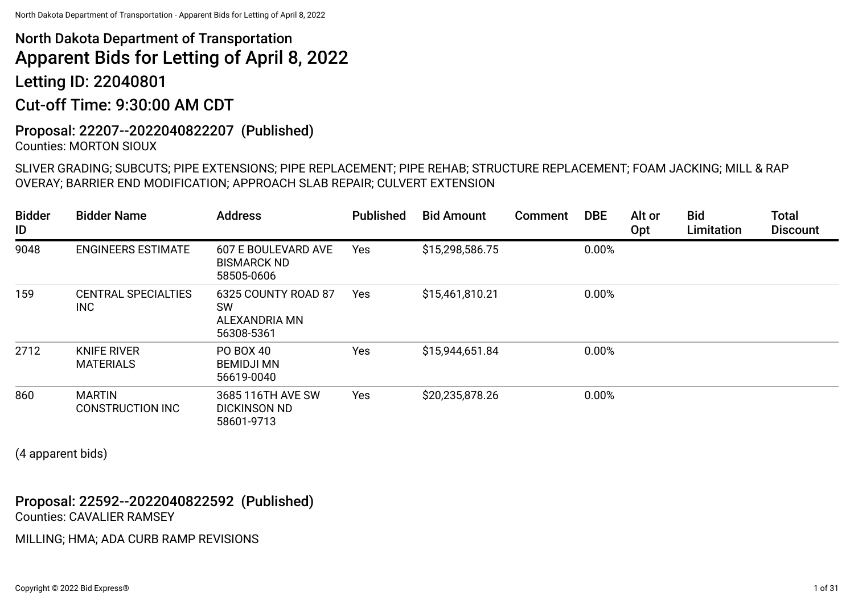Letting ID: 22040801

## Cut-off Time: 9:30:00 AM CDT

#### Proposal: 22207--2022040822207 (Published) Counties: MORTON SIOUX

SLIVER GRADING; SUBCUTS; PIPE EXTENSIONS; PIPE REPLACEMENT; PIPE REHAB; STRUCTURE REPLACEMENT; FOAM JACKING; MILL & RAP OVERAY; BARRIER END MODIFICATION; APPROACH SLAB REPAIR; CULVERT EXTENSION

| <b>Bidder</b><br>ID | <b>Bidder Name</b>                       | <b>Address</b>                                                  | <b>Published</b> | <b>Bid Amount</b> | <b>Comment</b> | <b>DBE</b> | Alt or<br>Opt | <b>Bid</b><br>Limitation | <b>Total</b><br><b>Discount</b> |
|---------------------|------------------------------------------|-----------------------------------------------------------------|------------------|-------------------|----------------|------------|---------------|--------------------------|---------------------------------|
| 9048                | <b>ENGINEERS ESTIMATE</b>                | 607 E BOULEVARD AVE<br><b>BISMARCK ND</b><br>58505-0606         | Yes              | \$15,298,586.75   |                | 0.00%      |               |                          |                                 |
| 159                 | <b>CENTRAL SPECIALTIES</b><br><b>INC</b> | 6325 COUNTY ROAD 87<br><b>SW</b><br>ALEXANDRIA MN<br>56308-5361 | Yes              | \$15,461,810.21   |                | 0.00%      |               |                          |                                 |
| 2712                | <b>KNIFE RIVER</b><br><b>MATERIALS</b>   | <b>PO BOX 40</b><br><b>BEMIDJI MN</b><br>56619-0040             | Yes              | \$15,944,651.84   |                | 0.00%      |               |                          |                                 |
| 860                 | <b>MARTIN</b><br><b>CONSTRUCTION INC</b> | 3685 116TH AVE SW<br><b>DICKINSON ND</b><br>58601-9713          | Yes              | \$20,235,878.26   |                | 0.00%      |               |                          |                                 |

(4 apparent bids)

## Proposal: 22592--2022040822592 (Published) Counties: CAVALIER RAMSEY

MILLING; HMA; ADA CURB RAMP REVISIONS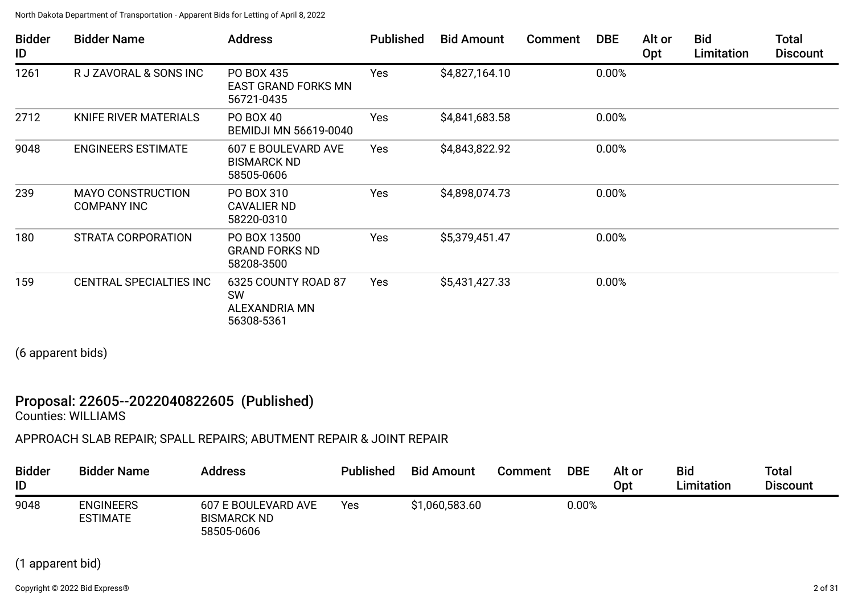| <b>Bidder</b><br>ID | <b>Bidder Name</b>                             | <b>Address</b>                                                         | <b>Published</b> | <b>Bid Amount</b> | Comment | <b>DBE</b> | Alt or<br>Opt | <b>Bid</b><br>Limitation | <b>Total</b><br><b>Discount</b> |
|---------------------|------------------------------------------------|------------------------------------------------------------------------|------------------|-------------------|---------|------------|---------------|--------------------------|---------------------------------|
| 1261                | R J ZAVORAL & SONS INC                         | PO BOX 435<br><b>EAST GRAND FORKS MN</b><br>56721-0435                 | Yes              | \$4,827,164.10    |         | 0.00%      |               |                          |                                 |
| 2712                | KNIFE RIVER MATERIALS                          | PO BOX 40<br><b>BEMIDJI MN 56619-0040</b>                              | Yes              | \$4,841,683.58    |         | 0.00%      |               |                          |                                 |
| 9048                | <b>ENGINEERS ESTIMATE</b>                      | 607 E BOULEVARD AVE<br><b>BISMARCK ND</b><br>58505-0606                | Yes              | \$4,843,822.92    |         | 0.00%      |               |                          |                                 |
| 239                 | <b>MAYO CONSTRUCTION</b><br><b>COMPANY INC</b> | PO BOX 310<br><b>CAVALIER ND</b><br>58220-0310                         | Yes              | \$4,898,074.73    |         | 0.00%      |               |                          |                                 |
| 180                 | STRATA CORPORATION                             | PO BOX 13500<br><b>GRAND FORKS ND</b><br>58208-3500                    | Yes              | \$5,379,451.47    |         | 0.00%      |               |                          |                                 |
| 159                 | CENTRAL SPECIALTIES INC                        | 6325 COUNTY ROAD 87<br><b>SW</b><br><b>ALEXANDRIA MN</b><br>56308-5361 | Yes              | \$5,431,427.33    |         | 0.00%      |               |                          |                                 |

(6 apparent bids)

## Proposal: 22605--2022040822605 (Published)

Counties: WILLIAMS

APPROACH SLAB REPAIR; SPALL REPAIRS; ABUTMENT REPAIR & JOINT REPAIR

| <b>Bidder</b><br>ID | <b>Bidder Name</b>                  | <b>Address</b>                                          | <b>Published</b> | <b>Bid Amount</b> | Comment | <b>DBE</b> | Alt or<br><b>Opt</b> | <b>Bid</b><br>Limitation | <b>Total</b><br><b>Discount</b> |
|---------------------|-------------------------------------|---------------------------------------------------------|------------------|-------------------|---------|------------|----------------------|--------------------------|---------------------------------|
| 9048                | <b>ENGINEERS</b><br><b>ESTIMATE</b> | 607 E BOULEVARD AVE<br><b>BISMARCK ND</b><br>58505-0606 | Yes              | \$1,060,583.60    |         | $0.00\%$   |                      |                          |                                 |

## (1 apparent bid)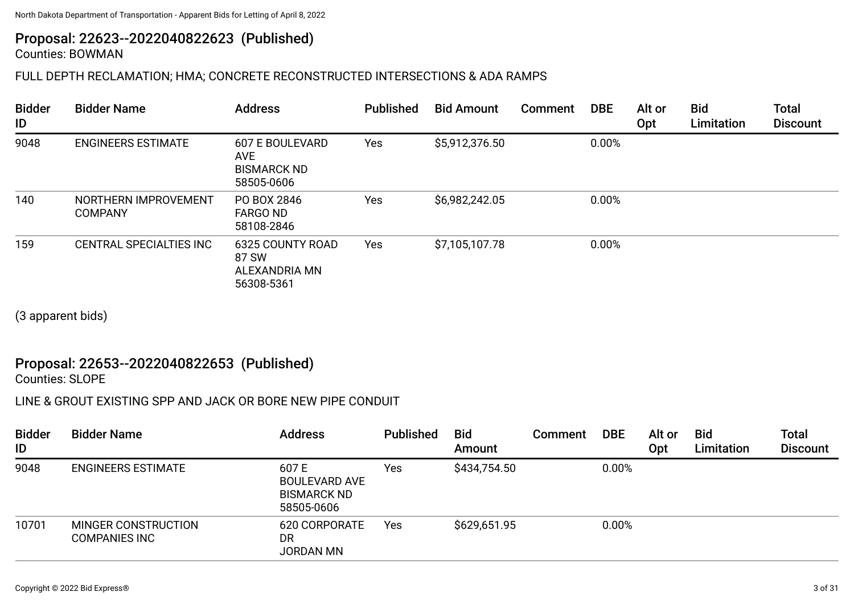## Proposal: 22623--2022040822623 (Published)

Counties: BOWMAN

## FULL DEPTH RECLAMATION; HMA; CONCRETE RECONSTRUCTED INTERSECTIONS & ADA RAMPS

| <b>Bidder</b><br>ID | <b>Bidder Name</b>                     | <b>Address</b>                                                           | <b>Published</b> | <b>Bid Amount</b> | Comment | <b>DBE</b> | Alt or<br>Opt | <b>Bid</b><br>Limitation | <b>Total</b><br><b>Discount</b> |
|---------------------|----------------------------------------|--------------------------------------------------------------------------|------------------|-------------------|---------|------------|---------------|--------------------------|---------------------------------|
| 9048                | <b>ENGINEERS ESTIMATE</b>              | <b>607 E BOULEVARD</b><br><b>AVE</b><br><b>BISMARCK ND</b><br>58505-0606 | Yes              | \$5,912,376.50    |         | 0.00%      |               |                          |                                 |
| 140                 | NORTHERN IMPROVEMENT<br><b>COMPANY</b> | PO BOX 2846<br><b>FARGO ND</b><br>58108-2846                             | Yes              | \$6,982,242.05    |         | 0.00%      |               |                          |                                 |
| 159                 | <b>CENTRAL SPECIALTIES INC</b>         | 6325 COUNTY ROAD<br>87 SW<br>ALEXANDRIA MN<br>56308-5361                 | Yes              | \$7,105,107.78    |         | 0.00%      |               |                          |                                 |

(3 apparent bids)

## Proposal: 22653--2022040822653 (Published)

Counties: SLOPE

## LINE & GROUT EXISTING SPP AND JACK OR BORE NEW PIPE CONDUIT

| <b>Bidder</b><br>ID | <b>Bidder Name</b>                          | <b>Address</b>                                                   | <b>Published</b> | <b>Bid</b><br>Amount | Comment | <b>DBE</b> | Alt or<br>Opt | <b>Bid</b><br>Limitation | <b>Total</b><br><b>Discount</b> |
|---------------------|---------------------------------------------|------------------------------------------------------------------|------------------|----------------------|---------|------------|---------------|--------------------------|---------------------------------|
| 9048                | <b>ENGINEERS ESTIMATE</b>                   | 607E<br><b>BOULEVARD AVE</b><br><b>BISMARCK ND</b><br>58505-0606 | Yes              | \$434,754.50         |         | 0.00%      |               |                          |                                 |
| 10701               | MINGER CONSTRUCTION<br><b>COMPANIES INC</b> | 620 CORPORATE<br>DR<br><b>JORDAN MN</b>                          | Yes              | \$629,651.95         |         | 0.00%      |               |                          |                                 |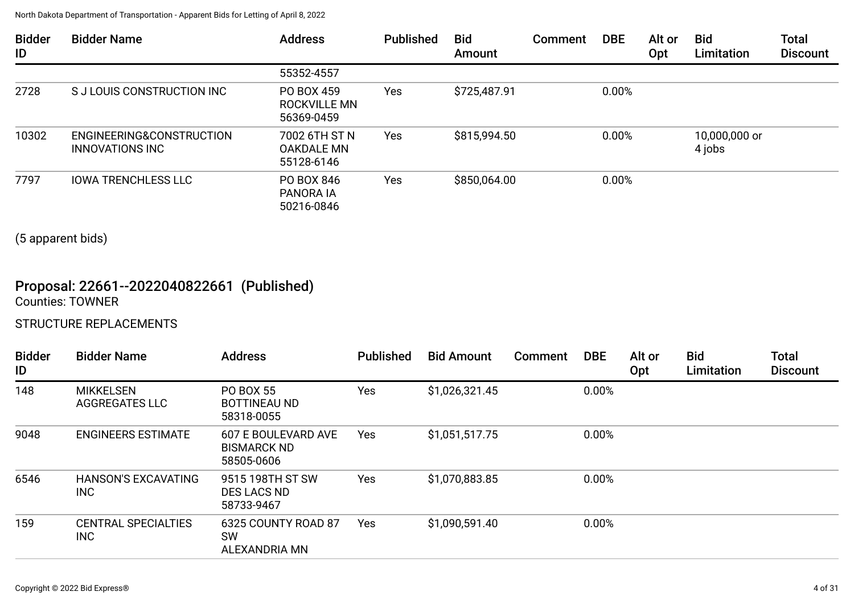North Dakota Department of Transportation - Apparent Bids for Letting of April 8, 2022

| <b>Bidder</b><br>ID | <b>Bidder Name</b>                          | <b>Address</b>                            | <b>Published</b> | <b>Bid</b><br>Amount | Comment | <b>DBE</b> | Alt or<br>Opt | <b>Bid</b><br>Limitation | <b>Total</b><br><b>Discount</b> |
|---------------------|---------------------------------------------|-------------------------------------------|------------------|----------------------|---------|------------|---------------|--------------------------|---------------------------------|
|                     |                                             | 55352-4557                                |                  |                      |         |            |               |                          |                                 |
| 2728                | S J LOUIS CONSTRUCTION INC                  | PO BOX 459<br>ROCKVILLE MN<br>56369-0459  | Yes              | \$725,487.91         |         | 0.00%      |               |                          |                                 |
| 10302               | ENGINEERING&CONSTRUCTION<br>INNOVATIONS INC | 7002 6TH ST N<br>OAKDALE MN<br>55128-6146 | <b>Yes</b>       | \$815,994.50         |         | 0.00%      |               | 10,000,000 or<br>4 jobs  |                                 |
| 7797                | <b>IOWA TRENCHLESS LLC</b>                  | PO BOX 846<br>PANORA IA<br>50216-0846     | Yes              | \$850,064.00         |         | 0.00%      |               |                          |                                 |

(5 apparent bids)

## Proposal: 22661--2022040822661 (Published) Counties: TOWNER

#### STRUCTURE REPLACEMENTS

| <b>Bidder</b><br>ID | <b>Bidder Name</b>                 | <b>Address</b>                                          | <b>Published</b> | <b>Bid Amount</b> | Comment | <b>DBE</b> | Alt or<br>Opt | <b>Bid</b><br>Limitation | <b>Total</b><br><b>Discount</b> |
|---------------------|------------------------------------|---------------------------------------------------------|------------------|-------------------|---------|------------|---------------|--------------------------|---------------------------------|
| 148                 | <b>MIKKELSEN</b><br>AGGREGATES LLC | <b>PO BOX 55</b><br><b>BOTTINEAU ND</b><br>58318-0055   | Yes              | \$1,026,321.45    |         | 0.00%      |               |                          |                                 |
| 9048                | <b>ENGINEERS ESTIMATE</b>          | 607 E BOULEVARD AVE<br><b>BISMARCK ND</b><br>58505-0606 | <b>Yes</b>       | \$1,051,517.75    |         | 0.00%      |               |                          |                                 |
| 6546                | <b>HANSON'S EXCAVATING</b><br>INC  | 9515 198TH ST SW<br>DES LACS ND<br>58733-9467           | Yes              | \$1,070,883.85    |         | 0.00%      |               |                          |                                 |
| 159                 | <b>CENTRAL SPECIALTIES</b><br>INC  | 6325 COUNTY ROAD 87<br><b>SW</b><br>ALEXANDRIA MN       | <b>Yes</b>       | \$1,090,591.40    |         | 0.00%      |               |                          |                                 |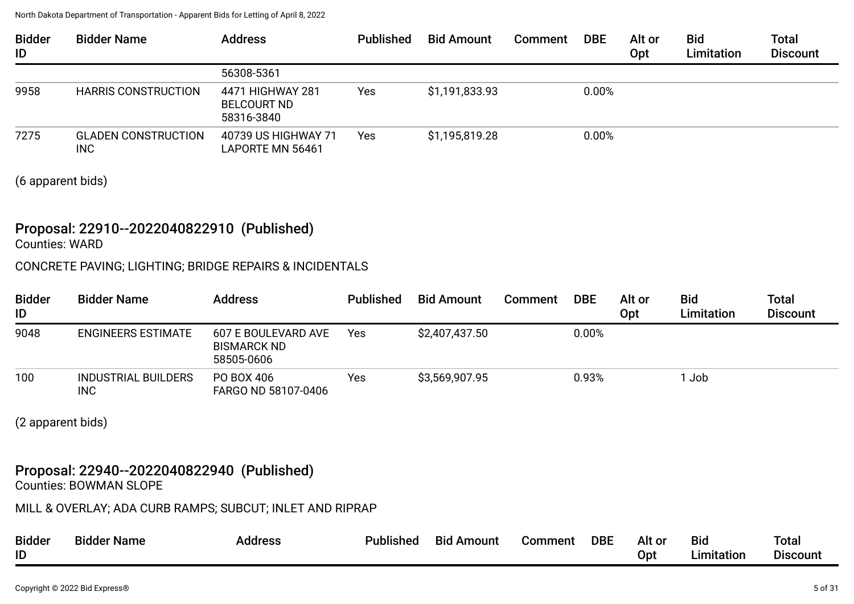| <b>Bidder</b><br>ID | <b>Bidder Name</b>                       | <b>Address</b>                                       | <b>Published</b> | <b>Bid Amount</b> | <b>Comment</b> | <b>DBE</b> | Alt or<br>Opt | <b>Bid</b><br>Limitation | <b>Total</b><br><b>Discount</b> |
|---------------------|------------------------------------------|------------------------------------------------------|------------------|-------------------|----------------|------------|---------------|--------------------------|---------------------------------|
|                     |                                          | 56308-5361                                           |                  |                   |                |            |               |                          |                                 |
| 9958                | <b>HARRIS CONSTRUCTION</b>               | 4471 HIGHWAY 281<br><b>BELCOURT ND</b><br>58316-3840 | Yes              | \$1,191,833.93    |                | 0.00%      |               |                          |                                 |
| 7275                | <b>GLADEN CONSTRUCTION</b><br><b>INC</b> | 40739 US HIGHWAY 71<br>LAPORTE MN 56461              | Yes              | \$1,195,819.28    |                | 0.00%      |               |                          |                                 |

(6 apparent bids)

## Proposal: 22910--2022040822910 (Published)

Counties: WARD

#### CONCRETE PAVING; LIGHTING; BRIDGE REPAIRS & INCIDENTALS

| <b>Bidder</b><br>ID | <b>Bidder Name</b>                       | <b>Address</b>                                          | <b>Published</b> | <b>Bid Amount</b> | Comment | <b>DBE</b> | Alt or<br>Opt | <b>Bid</b><br>Limitation | Total<br><b>Discount</b> |
|---------------------|------------------------------------------|---------------------------------------------------------|------------------|-------------------|---------|------------|---------------|--------------------------|--------------------------|
| 9048                | <b>ENGINEERS ESTIMATE</b>                | 607 E BOULEVARD AVE<br><b>BISMARCK ND</b><br>58505-0606 | Yes              | \$2,407,437.50    |         | 0.00%      |               |                          |                          |
| 100 <sub>1</sub>    | <b>INDUSTRIAL BUILDERS</b><br><b>INC</b> | PO BOX 406<br>FARGO ND 58107-0406                       | Yes              | \$3,569,907.95    |         | 0.93%      |               | 1 Job                    |                          |

(2 apparent bids)

## Proposal: 22940--2022040822940 (Published)

Counties: BOWMAN SLOPE

MILL & OVERLAY; ADA CURB RAMPS; SUBCUT; INLET AND RIPRAP

| <b>Bidder</b><br>ID | Bidder Name | Address | <b>Published</b> | Bid<br>Amount | Comment | <b>DBE</b> | Alt or<br>UD' | <b>Bid</b><br>nitatior | Tota <sub>1</sub><br>$\sim$<br>Discount |
|---------------------|-------------|---------|------------------|---------------|---------|------------|---------------|------------------------|-----------------------------------------|
|---------------------|-------------|---------|------------------|---------------|---------|------------|---------------|------------------------|-----------------------------------------|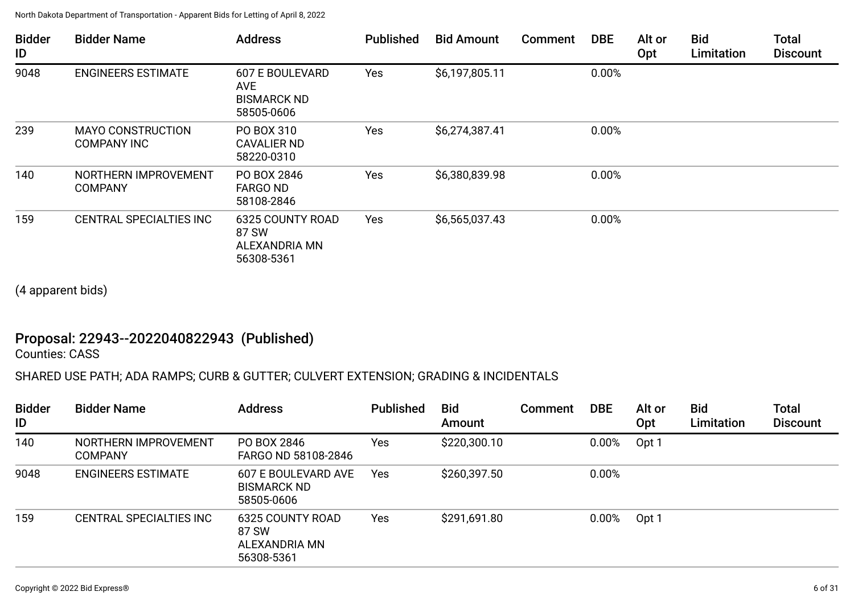| <b>Bidder</b><br>ID | <b>Bidder Name</b>                             | <b>Address</b>                                                           | <b>Published</b> | <b>Bid Amount</b> | Comment | <b>DBE</b> | Alt or<br>Opt | <b>Bid</b><br>Limitation | <b>Total</b><br><b>Discount</b> |
|---------------------|------------------------------------------------|--------------------------------------------------------------------------|------------------|-------------------|---------|------------|---------------|--------------------------|---------------------------------|
| 9048                | <b>ENGINEERS ESTIMATE</b>                      | <b>607 E BOULEVARD</b><br><b>AVE</b><br><b>BISMARCK ND</b><br>58505-0606 | Yes              | \$6,197,805.11    |         | 0.00%      |               |                          |                                 |
| 239                 | <b>MAYO CONSTRUCTION</b><br><b>COMPANY INC</b> | PO BOX 310<br><b>CAVALIER ND</b><br>58220-0310                           | Yes              | \$6,274,387.41    |         | 0.00%      |               |                          |                                 |
| 140                 | NORTHERN IMPROVEMENT<br><b>COMPANY</b>         | PO BOX 2846<br><b>FARGO ND</b><br>58108-2846                             | Yes              | \$6,380,839.98    |         | 0.00%      |               |                          |                                 |
| 159                 | <b>CENTRAL SPECIALTIES INC</b>                 | 6325 COUNTY ROAD<br>87 SW<br>ALEXANDRIA MN<br>56308-5361                 | Yes              | \$6,565,037.43    |         | 0.00%      |               |                          |                                 |

(4 apparent bids)

## Proposal: 22943--2022040822943 (Published)

Counties: CASS

## SHARED USE PATH; ADA RAMPS; CURB & GUTTER; CULVERT EXTENSION; GRADING & INCIDENTALS

| <b>Bidder</b><br>ID | <b>Bidder Name</b>                     | <b>Address</b>                                                 | <b>Published</b> | <b>Bid</b><br>Amount | <b>Comment</b> | <b>DBE</b> | Alt or<br><b>Opt</b> | <b>Bid</b><br>Limitation | <b>Total</b><br><b>Discount</b> |
|---------------------|----------------------------------------|----------------------------------------------------------------|------------------|----------------------|----------------|------------|----------------------|--------------------------|---------------------------------|
| 140                 | NORTHERN IMPROVEMENT<br><b>COMPANY</b> | PO BOX 2846<br>FARGO ND 58108-2846                             | Yes              | \$220,300.10         |                | 0.00%      | Opt 1                |                          |                                 |
| 9048                | <b>ENGINEERS ESTIMATE</b>              | <b>607 E BOULEVARD AVE</b><br><b>BISMARCK ND</b><br>58505-0606 | Yes              | \$260,397.50         |                | 0.00%      |                      |                          |                                 |
| 159                 | CENTRAL SPECIALTIES INC                | 6325 COUNTY ROAD<br>87 SW<br>ALEXANDRIA MN<br>56308-5361       | Yes              | \$291,691.80         |                | 0.00%      | Opt 1                |                          |                                 |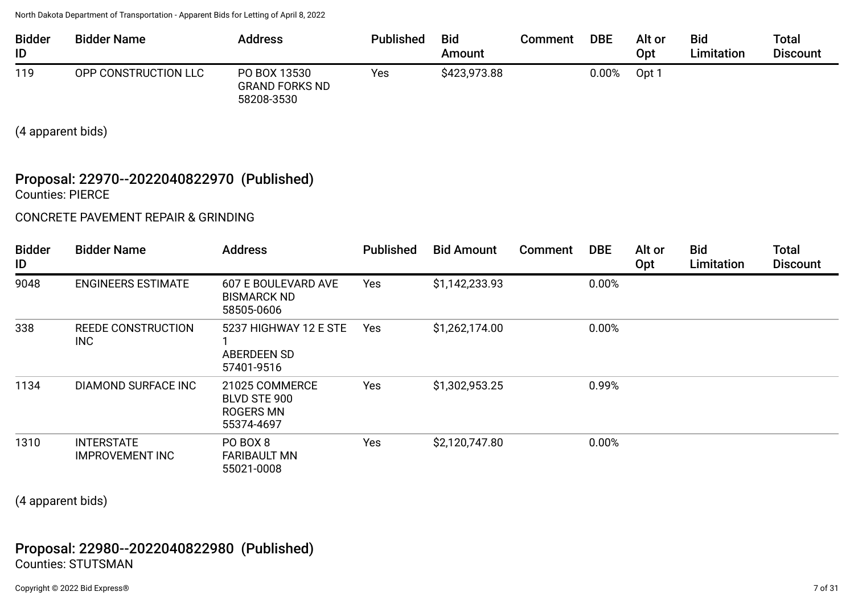| <b>Bidder</b><br>ID | <b>Bidder Name</b>   | <b>Address</b>                                      | <b>Published</b> | <b>Bid</b><br>Amount | Comment | <b>DBE</b> | Alt or<br><b>Opt</b> | <b>Bid</b><br><b>Limitation</b> | <b>Total</b><br><b>Discount</b> |
|---------------------|----------------------|-----------------------------------------------------|------------------|----------------------|---------|------------|----------------------|---------------------------------|---------------------------------|
| 119                 | OPP CONSTRUCTION LLC | PO BOX 13530<br><b>GRAND FORKS ND</b><br>58208-3530 | Yes              | \$423,973.88         |         | $0.00\%$   | Opt 1                |                                 |                                 |

(4 apparent bids)

#### Proposal: 22970--2022040822970 (Published) Counties: PIERCE

CONCRETE PAVEMENT REPAIR & GRINDING

| <b>Bidder</b><br>ID | <b>Bidder Name</b>                          | <b>Address</b>                                            | <b>Published</b> | <b>Bid Amount</b> | Comment | <b>DBE</b> | Alt or<br>Opt | <b>Bid</b><br>Limitation | <b>Total</b><br><b>Discount</b> |
|---------------------|---------------------------------------------|-----------------------------------------------------------|------------------|-------------------|---------|------------|---------------|--------------------------|---------------------------------|
| 9048                | <b>ENGINEERS ESTIMATE</b>                   | 607 E BOULEVARD AVE<br><b>BISMARCK ND</b><br>58505-0606   | <b>Yes</b>       | \$1,142,233.93    |         | 0.00%      |               |                          |                                 |
| 338                 | <b>REEDE CONSTRUCTION</b><br>INC            | 5237 HIGHWAY 12 E STE<br>ABERDEEN SD<br>57401-9516        | Yes              | \$1,262,174.00    |         | 0.00%      |               |                          |                                 |
| 1134                | DIAMOND SURFACE INC                         | 21025 COMMERCE<br>BLVD STE 900<br>ROGERS MN<br>55374-4697 | Yes              | \$1,302,953.25    |         | 0.99%      |               |                          |                                 |
| 1310                | <b>INTERSTATE</b><br><b>IMPROVEMENT INC</b> | PO BOX 8<br><b>FARIBAULT MN</b><br>55021-0008             | Yes              | \$2,120,747.80    |         | 0.00%      |               |                          |                                 |

(4 apparent bids)

## Proposal: 22980--2022040822980 (Published) Counties: STUTSMAN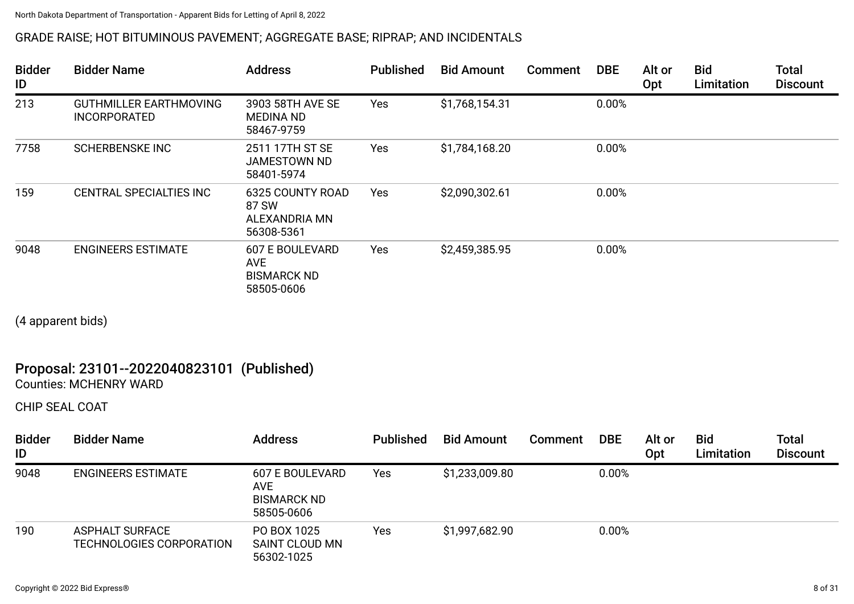## GRADE RAISE; HOT BITUMINOUS PAVEMENT; AGGREGATE BASE; RIPRAP; AND INCIDENTALS

| <b>Bidder</b><br>ID | <b>Bidder Name</b>                                   | <b>Address</b>                                                           | <b>Published</b> | <b>Bid Amount</b> | <b>Comment</b> | <b>DBE</b> | Alt or<br>Opt | <b>Bid</b><br>Limitation | <b>Total</b><br><b>Discount</b> |
|---------------------|------------------------------------------------------|--------------------------------------------------------------------------|------------------|-------------------|----------------|------------|---------------|--------------------------|---------------------------------|
| 213                 | <b>GUTHMILLER EARTHMOVING</b><br><b>INCORPORATED</b> | 3903 58TH AVE SE<br><b>MEDINA ND</b><br>58467-9759                       | Yes              | \$1,768,154.31    |                | 0.00%      |               |                          |                                 |
| 7758                | <b>SCHERBENSKE INC</b>                               | 2511 17TH ST SE<br>JAMESTOWN ND<br>58401-5974                            | Yes              | \$1,784,168.20    |                | 0.00%      |               |                          |                                 |
| 159                 | CENTRAL SPECIALTIES INC                              | <b>6325 COUNTY ROAD</b><br>87 SW<br>ALEXANDRIA MN<br>56308-5361          | <b>Yes</b>       | \$2,090,302.61    |                | 0.00%      |               |                          |                                 |
| 9048                | <b>ENGINEERS ESTIMATE</b>                            | <b>607 E BOULEVARD</b><br><b>AVE</b><br><b>BISMARCK ND</b><br>58505-0606 | <b>Yes</b>       | \$2,459,385.95    |                | 0.00%      |               |                          |                                 |

(4 apparent bids)

## Proposal: 23101--2022040823101 (Published) Counties: MCHENRY WARD

CHIP SEAL COAT

| <b>Bidder</b><br>ID | <b>Bidder Name</b>                                 | <b>Address</b>                                                           | <b>Published</b> | <b>Bid Amount</b> | <b>Comment</b> | <b>DBE</b> | Alt or<br>Opt | <b>Bid</b><br>Limitation | <b>Total</b><br><b>Discount</b> |
|---------------------|----------------------------------------------------|--------------------------------------------------------------------------|------------------|-------------------|----------------|------------|---------------|--------------------------|---------------------------------|
| 9048                | <b>ENGINEERS ESTIMATE</b>                          | <b>607 E BOULEVARD</b><br><b>AVE</b><br><b>BISMARCK ND</b><br>58505-0606 | Yes              | \$1,233,009.80    |                | 0.00%      |               |                          |                                 |
| 190                 | <b>ASPHALT SURFACE</b><br>TECHNOLOGIES CORPORATION | PO BOX 1025<br>SAINT CLOUD MN<br>56302-1025                              | Yes              | \$1,997,682.90    |                | 0.00%      |               |                          |                                 |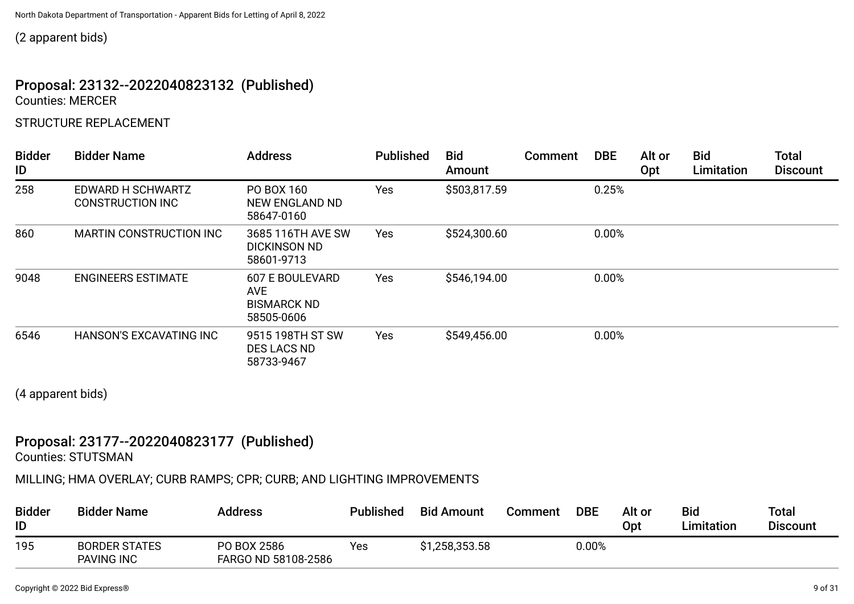(2 apparent bids)

## Proposal: 23132--2022040823132 (Published) Counties: MERCER

## STRUCTURE REPLACEMENT

| <b>Bidder</b><br>ID | <b>Bidder Name</b>                           | <b>Address</b>                                                     | <b>Published</b> | <b>Bid</b><br>Amount | <b>Comment</b> | <b>DBE</b> | Alt or<br><b>Opt</b> | <b>Bid</b><br>Limitation | <b>Total</b><br><b>Discount</b> |
|---------------------|----------------------------------------------|--------------------------------------------------------------------|------------------|----------------------|----------------|------------|----------------------|--------------------------|---------------------------------|
| 258                 | EDWARD H SCHWARTZ<br><b>CONSTRUCTION INC</b> | PO BOX 160<br><b>NEW ENGLAND ND</b><br>58647-0160                  | Yes              | \$503,817.59         |                | 0.25%      |                      |                          |                                 |
| 860                 | <b>MARTIN CONSTRUCTION INC</b>               | 3685 116TH AVE SW<br><b>DICKINSON ND</b><br>58601-9713             | <b>Yes</b>       | \$524,300.60         |                | 0.00%      |                      |                          |                                 |
| 9048                | <b>ENGINEERS ESTIMATE</b>                    | <b>607 E BOULEVARD</b><br>AVE.<br><b>BISMARCK ND</b><br>58505-0606 | <b>Yes</b>       | \$546,194.00         |                | 0.00%      |                      |                          |                                 |
| 6546                | <b>HANSON'S EXCAVATING INC</b>               | 9515 198TH ST SW<br><b>DES LACS ND</b><br>58733-9467               | <b>Yes</b>       | \$549,456.00         |                | 0.00%      |                      |                          |                                 |

(4 apparent bids)

## Proposal: 23177--2022040823177 (Published)

Counties: STUTSMAN

MILLING; HMA OVERLAY; CURB RAMPS; CPR; CURB; AND LIGHTING IMPROVEMENTS

| <b>Bidder</b><br>ID | <b>Bidder Name</b>                        | <b>Address</b>                     | <b>Published</b> | <b>Bid Amount</b> | Comment | <b>DBE</b> | Alt or<br><b>Opt</b> | <b>Bid</b><br><b>Limitation</b> | Total<br><b>Discount</b> |
|---------------------|-------------------------------------------|------------------------------------|------------------|-------------------|---------|------------|----------------------|---------------------------------|--------------------------|
| 195                 | <b>BORDER STATES</b><br><b>PAVING INC</b> | PO BOX 2586<br>FARGO ND 58108-2586 | Yes              | \$1,258,353.58    |         | 0.00%      |                      |                                 |                          |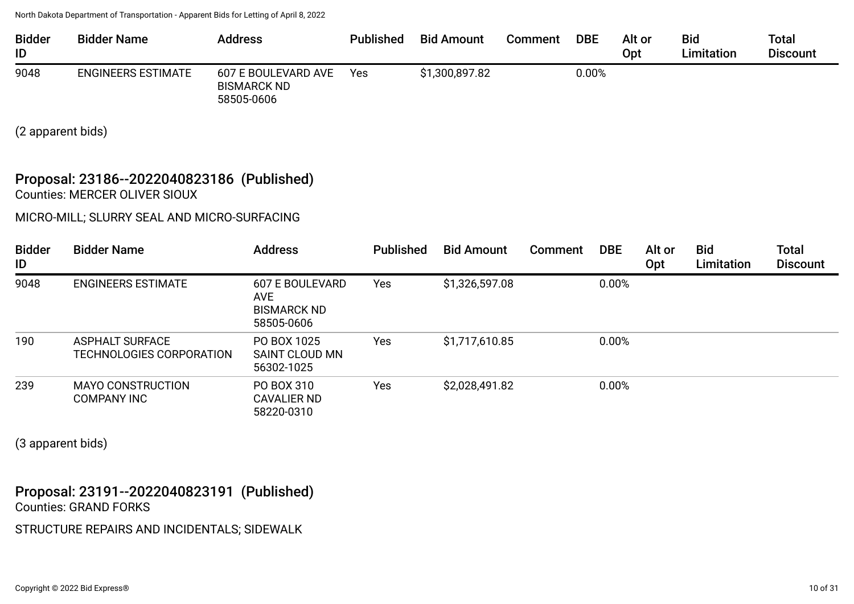| <b>Bidder</b><br>ID | <b>Bidder Name</b>        | Address                                                 | <b>Published</b> | <b>Bid Amount</b> | Comment | <b>DBE</b> | Alt or<br>Opt | <b>Bid</b><br><b>Limitation</b> | <b>Total</b><br><b>Discount</b> |
|---------------------|---------------------------|---------------------------------------------------------|------------------|-------------------|---------|------------|---------------|---------------------------------|---------------------------------|
| 9048                | <b>ENGINEERS ESTIMATE</b> | 607 E BOULEVARD AVE<br><b>BISMARCK ND</b><br>58505-0606 | <b>Yes</b>       | \$1,300,897.82    |         | 0.00%      |               |                                 |                                 |

(2 apparent bids)

#### Proposal: 23186--2022040823186 (Published) Counties: MERCER OLIVER SIOUX

MICRO-MILL; SLURRY SEAL AND MICRO-SURFACING

| <b>Bidder</b><br>ID | <b>Bidder Name</b>                                 | <b>Address</b>                                                    | <b>Published</b> | <b>Bid Amount</b> | Comment | <b>DBE</b> | Alt or<br>Opt | <b>Bid</b><br>Limitation | <b>Total</b><br><b>Discount</b> |
|---------------------|----------------------------------------------------|-------------------------------------------------------------------|------------------|-------------------|---------|------------|---------------|--------------------------|---------------------------------|
| 9048                | <b>ENGINEERS ESTIMATE</b>                          | <b>607 E BOULEVARD</b><br>AVE<br><b>BISMARCK ND</b><br>58505-0606 | Yes              | \$1,326,597.08    |         | 0.00%      |               |                          |                                 |
| 190                 | <b>ASPHALT SURFACE</b><br>TECHNOLOGIES CORPORATION | PO BOX 1025<br>SAINT CLOUD MN<br>56302-1025                       | Yes              | \$1,717,610.85    |         | 0.00%      |               |                          |                                 |
| 239                 | <b>MAYO CONSTRUCTION</b><br><b>COMPANY INC</b>     | PO BOX 310<br><b>CAVALIER ND</b><br>58220-0310                    | Yes              | \$2,028,491.82    |         | 0.00%      |               |                          |                                 |

(3 apparent bids)

Proposal: 23191--2022040823191 (Published) Counties: GRAND FORKS

STRUCTURE REPAIRS AND INCIDENTALS; SIDEWALK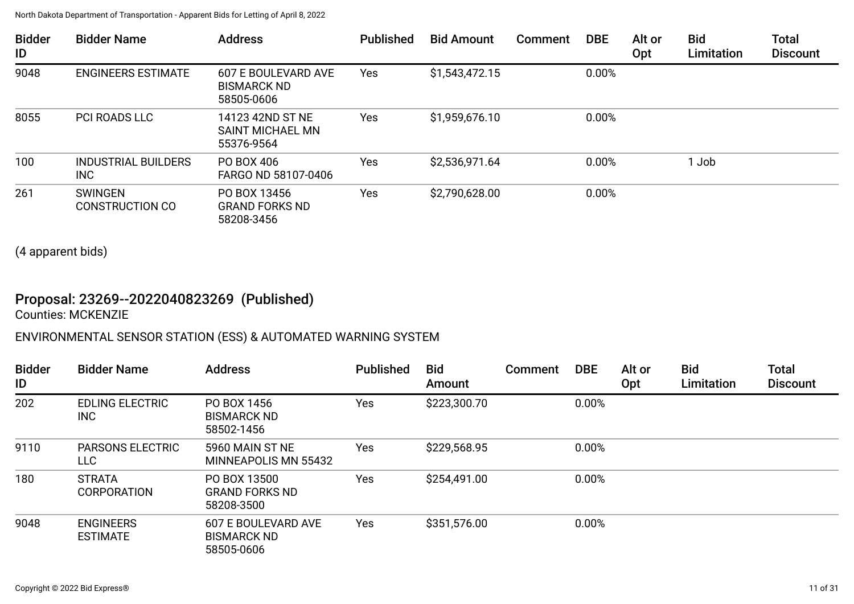| <b>Bidder</b><br>ID | <b>Bidder Name</b>                       | <b>Address</b>                                          | <b>Published</b> | <b>Bid Amount</b> | Comment | <b>DBE</b> | Alt or<br>Opt | <b>Bid</b><br>Limitation | <b>Total</b><br><b>Discount</b> |
|---------------------|------------------------------------------|---------------------------------------------------------|------------------|-------------------|---------|------------|---------------|--------------------------|---------------------------------|
| 9048                | <b>ENGINEERS ESTIMATE</b>                | 607 E BOULEVARD AVE<br><b>BISMARCK ND</b><br>58505-0606 | Yes              | \$1,543,472.15    |         | 0.00%      |               |                          |                                 |
| 8055                | <b>PCI ROADS LLC</b>                     | 14123 42ND ST NE<br>SAINT MICHAEL MN<br>55376-9564      | <b>Yes</b>       | \$1,959,676.10    |         | 0.00%      |               |                          |                                 |
| 100                 | <b>INDUSTRIAL BUILDERS</b><br><b>INC</b> | PO BOX 406<br>FARGO ND 58107-0406                       | Yes              | \$2,536,971.64    |         | 0.00%      |               | 1 Job                    |                                 |
| 261                 | <b>SWINGEN</b><br><b>CONSTRUCTION CO</b> | PO BOX 13456<br><b>GRAND FORKS ND</b><br>58208-3456     | <b>Yes</b>       | \$2,790,628.00    |         | 0.00%      |               |                          |                                 |

(4 apparent bids)

## Proposal: 23269--2022040823269 (Published)

Counties: MCKENZIE

## ENVIRONMENTAL SENSOR STATION (ESS) & AUTOMATED WARNING SYSTEM

| <b>Bidder</b><br>ID | <b>Bidder Name</b>                    | <b>Address</b>                                          | <b>Published</b> | <b>Bid</b><br>Amount | <b>Comment</b> | <b>DBE</b> | Alt or<br>Opt | <b>Bid</b><br>Limitation | <b>Total</b><br><b>Discount</b> |
|---------------------|---------------------------------------|---------------------------------------------------------|------------------|----------------------|----------------|------------|---------------|--------------------------|---------------------------------|
| 202                 | <b>EDLING ELECTRIC</b><br><b>INC</b>  | PO BOX 1456<br><b>BISMARCK ND</b><br>58502-1456         | Yes              | \$223,300.70         |                | 0.00%      |               |                          |                                 |
| 9110                | <b>PARSONS ELECTRIC</b><br><b>LLC</b> | 5960 MAIN ST NE<br><b>MINNEAPOLIS MN 55432</b>          | Yes              | \$229,568.95         |                | 0.00%      |               |                          |                                 |
| 180                 | <b>STRATA</b><br><b>CORPORATION</b>   | PO BOX 13500<br><b>GRAND FORKS ND</b><br>58208-3500     | Yes              | \$254,491.00         |                | 0.00%      |               |                          |                                 |
| 9048                | <b>ENGINEERS</b><br><b>ESTIMATE</b>   | 607 E BOULEVARD AVE<br><b>BISMARCK ND</b><br>58505-0606 | Yes              | \$351,576.00         |                | 0.00%      |               |                          |                                 |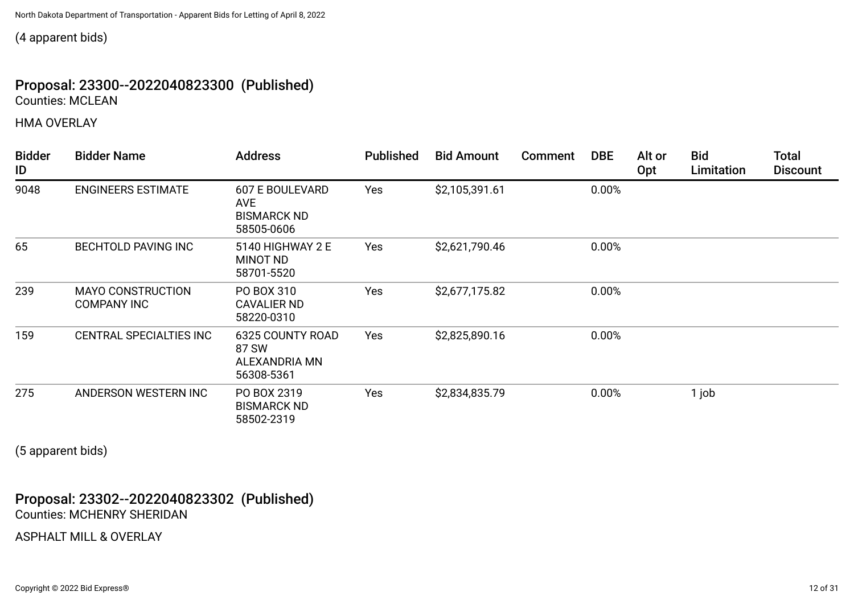(4 apparent bids)

## Proposal: 23300--2022040823300 (Published) Counties: MCLEAN

HMA OVERLAY

| <b>Bidder</b><br>ID | <b>Bidder Name</b>                             | <b>Address</b>                                                           | <b>Published</b> | <b>Bid Amount</b> | Comment | <b>DBE</b> | Alt or<br>Opt | <b>Bid</b><br>Limitation | <b>Total</b><br><b>Discount</b> |
|---------------------|------------------------------------------------|--------------------------------------------------------------------------|------------------|-------------------|---------|------------|---------------|--------------------------|---------------------------------|
| 9048                | <b>ENGINEERS ESTIMATE</b>                      | <b>607 E BOULEVARD</b><br><b>AVE</b><br><b>BISMARCK ND</b><br>58505-0606 | Yes              | \$2,105,391.61    |         | 0.00%      |               |                          |                                 |
| 65                  | <b>BECHTOLD PAVING INC</b>                     | 5140 HIGHWAY 2 E<br><b>MINOT ND</b><br>58701-5520                        | Yes              | \$2,621,790.46    |         | 0.00%      |               |                          |                                 |
| 239                 | <b>MAYO CONSTRUCTION</b><br><b>COMPANY INC</b> | PO BOX 310<br>CAVALIER ND<br>58220-0310                                  | Yes              | \$2,677,175.82    |         | 0.00%      |               |                          |                                 |
| 159                 | CENTRAL SPECIALTIES INC                        | 6325 COUNTY ROAD<br>87 SW<br>ALEXANDRIA MN<br>56308-5361                 | Yes              | \$2,825,890.16    |         | 0.00%      |               |                          |                                 |
| 275                 | ANDERSON WESTERN INC                           | PO BOX 2319<br><b>BISMARCK ND</b><br>58502-2319                          | Yes              | \$2,834,835.79    |         | 0.00%      |               | 1 job                    |                                 |

(5 apparent bids)

Proposal: 23302--2022040823302 (Published) Counties: MCHENRY SHERIDAN

ASPHALT MILL & OVERLAY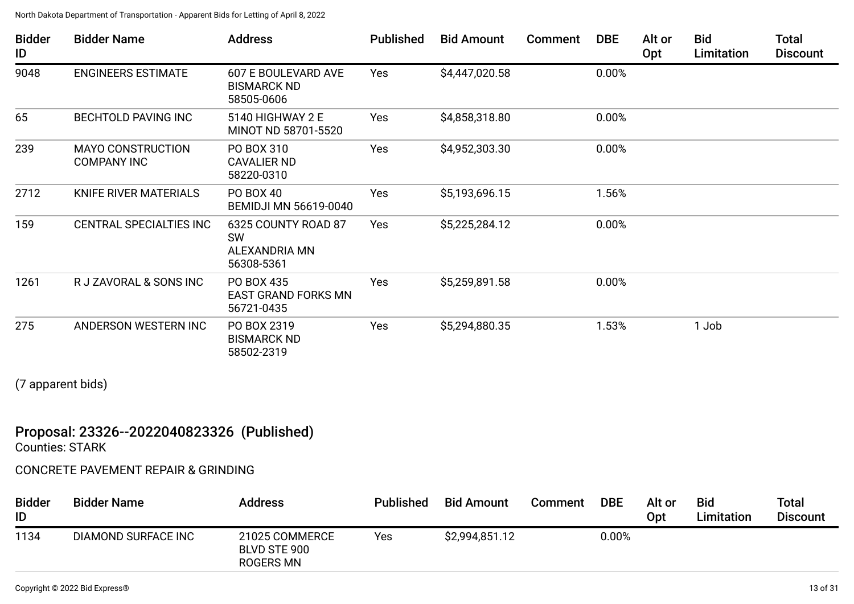| <b>Bidder</b><br>ID | <b>Bidder Name</b>                             | <b>Address</b>                                                  | <b>Published</b> | <b>Bid Amount</b> | Comment | <b>DBE</b> | Alt or<br>Opt | <b>Bid</b><br>Limitation | <b>Total</b><br><b>Discount</b> |
|---------------------|------------------------------------------------|-----------------------------------------------------------------|------------------|-------------------|---------|------------|---------------|--------------------------|---------------------------------|
| 9048                | <b>ENGINEERS ESTIMATE</b>                      | 607 E BOULEVARD AVE<br><b>BISMARCK ND</b><br>58505-0606         | Yes              | \$4,447,020.58    |         | 0.00%      |               |                          |                                 |
| 65                  | <b>BECHTOLD PAVING INC</b>                     | 5140 HIGHWAY 2 E<br>MINOT ND 58701-5520                         | Yes              | \$4,858,318.80    |         | 0.00%      |               |                          |                                 |
| 239                 | <b>MAYO CONSTRUCTION</b><br><b>COMPANY INC</b> | PO BOX 310<br><b>CAVALIER ND</b><br>58220-0310                  | Yes              | \$4,952,303.30    |         | 0.00%      |               |                          |                                 |
| 2712                | <b>KNIFE RIVER MATERIALS</b>                   | PO BOX 40<br><b>BEMIDJI MN 56619-0040</b>                       | Yes              | \$5,193,696.15    |         | 1.56%      |               |                          |                                 |
| 159                 | <b>CENTRAL SPECIALTIES INC</b>                 | 6325 COUNTY ROAD 87<br><b>SW</b><br>ALEXANDRIA MN<br>56308-5361 | Yes              | \$5,225,284.12    |         | 0.00%      |               |                          |                                 |
| 1261                | R J ZAVORAL & SONS INC                         | PO BOX 435<br><b>EAST GRAND FORKS MN</b><br>56721-0435          | Yes              | \$5,259,891.58    |         | 0.00%      |               |                          |                                 |
| 275                 | ANDERSON WESTERN INC                           | PO BOX 2319<br><b>BISMARCK ND</b><br>58502-2319                 | Yes              | \$5,294,880.35    |         | 1.53%      |               | 1 Job                    |                                 |

(7 apparent bids)

## Proposal: 23326--2022040823326 (Published)

Counties: STARK

## CONCRETE PAVEMENT REPAIR & GRINDING

| <b>Bidder</b><br>ID | <b>Bidder Name</b>  | <b>Address</b>                              | <b>Published</b> | <b>Bid Amount</b> | Comment | <b>DBE</b> | Alt or<br>Opt | <b>Bid</b><br>Limitation | <b>Total</b><br><b>Discount</b> |
|---------------------|---------------------|---------------------------------------------|------------------|-------------------|---------|------------|---------------|--------------------------|---------------------------------|
| 1134                | DIAMOND SURFACE INC | 21025 COMMERCE<br>BLVD STE 900<br>ROGERS MN | Yes              | \$2,994,851.12    |         | 0.00%      |               |                          |                                 |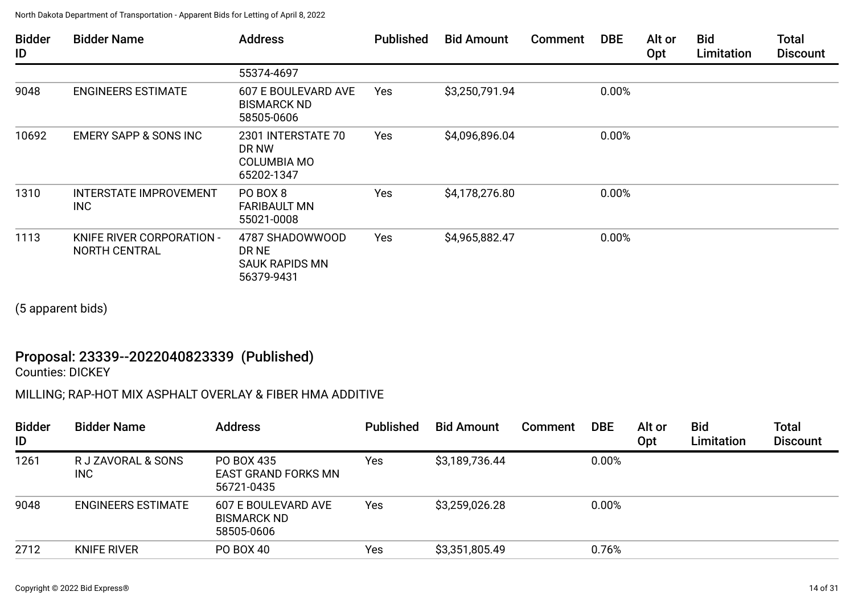| <b>Bidder</b><br>ID | <b>Bidder Name</b>                                | <b>Address</b>                                                  | <b>Published</b> | <b>Bid Amount</b> | <b>Comment</b> | <b>DBE</b> | Alt or<br>Opt | <b>Bid</b><br>Limitation | <b>Total</b><br><b>Discount</b> |
|---------------------|---------------------------------------------------|-----------------------------------------------------------------|------------------|-------------------|----------------|------------|---------------|--------------------------|---------------------------------|
|                     |                                                   | 55374-4697                                                      |                  |                   |                |            |               |                          |                                 |
| 9048                | <b>ENGINEERS ESTIMATE</b>                         | 607 E BOULEVARD AVE<br><b>BISMARCK ND</b><br>58505-0606         | Yes              | \$3,250,791.94    |                | 0.00%      |               |                          |                                 |
| 10692               | <b>EMERY SAPP &amp; SONS INC</b>                  | 2301 INTERSTATE 70<br>DR NW<br><b>COLUMBIA MO</b><br>65202-1347 | Yes              | \$4,096,896.04    |                | 0.00%      |               |                          |                                 |
| 1310                | <b>INTERSTATE IMPROVEMENT</b><br><b>INC</b>       | PO BOX 8<br><b>FARIBAULT MN</b><br>55021-0008                   | Yes              | \$4,178,276.80    |                | 0.00%      |               |                          |                                 |
| 1113                | KNIFE RIVER CORPORATION -<br><b>NORTH CENTRAL</b> | 4787 SHADOWWOOD<br>DR NE<br><b>SAUK RAPIDS MN</b><br>56379-9431 | Yes              | \$4,965,882.47    |                | 0.00%      |               |                          |                                 |

(5 apparent bids)

## Proposal: 23339--2022040823339 (Published)

Counties: DICKEY

## MILLING; RAP-HOT MIX ASPHALT OVERLAY & FIBER HMA ADDITIVE

| <b>Bidder</b><br>ID | <b>Bidder Name</b>        | <b>Address</b>                                          | <b>Published</b> | <b>Bid Amount</b> | <b>Comment</b> | <b>DBE</b> | Alt or<br>Opt | <b>Bid</b><br>Limitation | <b>Total</b><br><b>Discount</b> |
|---------------------|---------------------------|---------------------------------------------------------|------------------|-------------------|----------------|------------|---------------|--------------------------|---------------------------------|
| 1261                | R J ZAVORAL & SONS<br>INC | PO BOX 435<br>EAST GRAND FORKS MN<br>56721-0435         | Yes              | \$3,189,736.44    |                | 0.00%      |               |                          |                                 |
| 9048                | <b>ENGINEERS ESTIMATE</b> | 607 E BOULEVARD AVE<br><b>BISMARCK ND</b><br>58505-0606 | Yes              | \$3,259,026.28    |                | 0.00%      |               |                          |                                 |
| 2712                | <b>KNIFE RIVER</b>        | PO BOX 40                                               | Yes              | \$3,351,805.49    |                | 0.76%      |               |                          |                                 |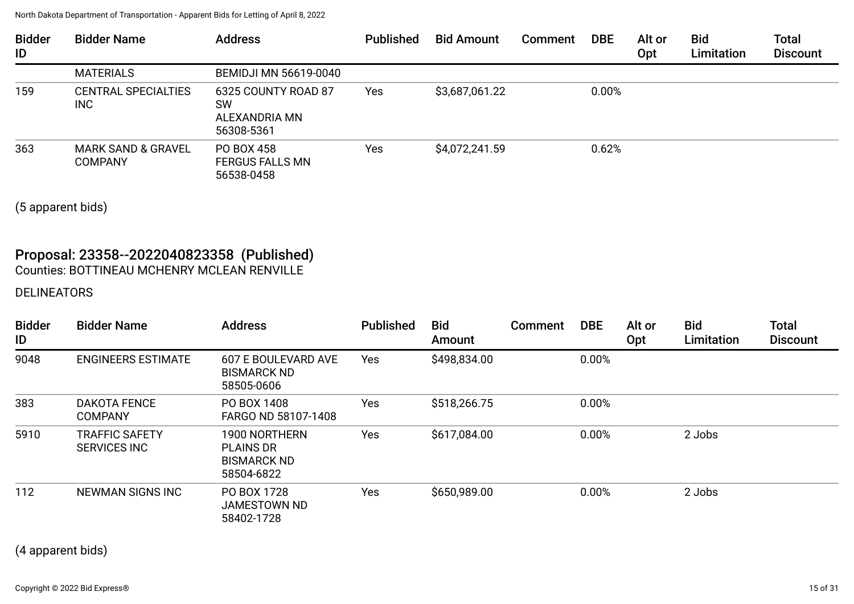| <b>Bidder</b><br>ID | <b>Bidder Name</b>                       | <b>Address</b>                                                  | <b>Published</b> | <b>Bid Amount</b> | <b>Comment</b> | <b>DBE</b> | Alt or<br>Opt | <b>Bid</b><br>Limitation | <b>Total</b><br><b>Discount</b> |
|---------------------|------------------------------------------|-----------------------------------------------------------------|------------------|-------------------|----------------|------------|---------------|--------------------------|---------------------------------|
|                     | <b>MATERIALS</b>                         | <b>BEMIDJI MN 56619-0040</b>                                    |                  |                   |                |            |               |                          |                                 |
| 159                 | <b>CENTRAL SPECIALTIES</b><br><b>INC</b> | 6325 COUNTY ROAD 87<br><b>SW</b><br>ALEXANDRIA MN<br>56308-5361 | Yes              | \$3,687,061.22    |                | 0.00%      |               |                          |                                 |
| 363                 | MARK SAND & GRAVEL<br><b>COMPANY</b>     | PO BOX 458<br><b>FERGUS FALLS MN</b><br>56538-0458              | Yes              | \$4,072,241.59    |                | 0.62%      |               |                          |                                 |

(5 apparent bids)

## Proposal: 23358--2022040823358 (Published) Counties: BOTTINEAU MCHENRY MCLEAN RENVILLE

## DELINEATORS

| <b>Bidder</b><br>ID | <b>Bidder Name</b>                           | <b>Address</b>                                                        | <b>Published</b> | <b>Bid</b><br>Amount | Comment | <b>DBE</b> | Alt or<br>Opt | <b>Bid</b><br>Limitation | <b>Total</b><br><b>Discount</b> |
|---------------------|----------------------------------------------|-----------------------------------------------------------------------|------------------|----------------------|---------|------------|---------------|--------------------------|---------------------------------|
| 9048                | <b>ENGINEERS ESTIMATE</b>                    | 607 E BOULEVARD AVE<br><b>BISMARCK ND</b><br>58505-0606               | Yes              | \$498,834.00         |         | 0.00%      |               |                          |                                 |
| 383                 | <b>DAKOTA FENCE</b><br><b>COMPANY</b>        | PO BOX 1408<br>FARGO ND 58107-1408                                    | Yes              | \$518,266.75         |         | 0.00%      |               |                          |                                 |
| 5910                | <b>TRAFFIC SAFETY</b><br><b>SERVICES INC</b> | 1900 NORTHERN<br><b>PLAINS DR</b><br><b>BISMARCK ND</b><br>58504-6822 | Yes              | \$617,084.00         |         | 0.00%      |               | 2 Jobs                   |                                 |
| 112                 | NEWMAN SIGNS INC                             | PO BOX 1728<br>JAMESTOWN ND<br>58402-1728                             | Yes              | \$650,989.00         |         | 0.00%      |               | 2 Jobs                   |                                 |

(4 apparent bids)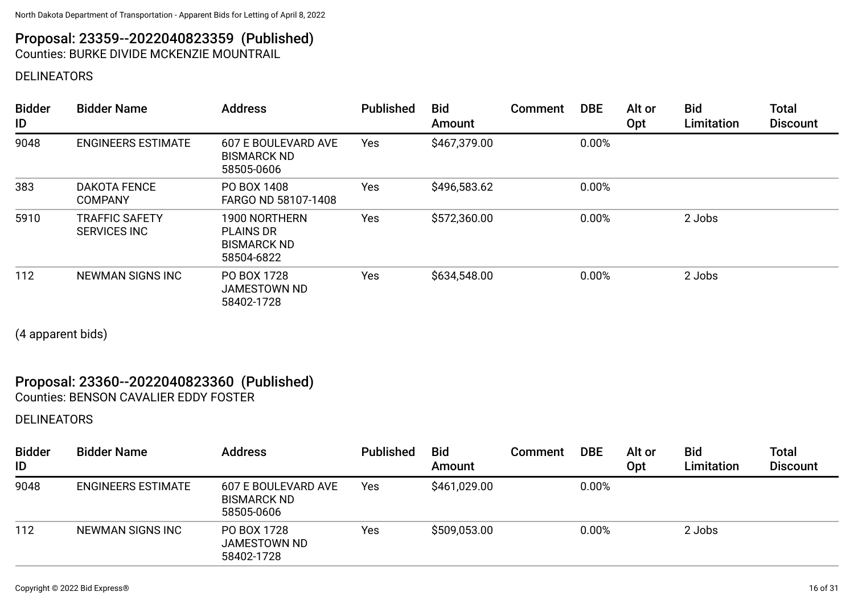# Proposal: 23359--2022040823359 (Published)

Counties: BURKE DIVIDE MCKENZIE MOUNTRAIL

## DELINEATORS

| <b>Bidder</b><br>ID | <b>Bidder Name</b>                    | <b>Address</b>                                                        | <b>Published</b> | <b>Bid</b><br>Amount | Comment | <b>DBE</b> | Alt or<br>Opt | <b>Bid</b><br>Limitation | <b>Total</b><br><b>Discount</b> |
|---------------------|---------------------------------------|-----------------------------------------------------------------------|------------------|----------------------|---------|------------|---------------|--------------------------|---------------------------------|
| 9048                | <b>ENGINEERS ESTIMATE</b>             | 607 E BOULEVARD AVE<br><b>BISMARCK ND</b><br>58505-0606               | Yes              | \$467,379.00         |         | 0.00%      |               |                          |                                 |
| 383                 | <b>DAKOTA FENCE</b><br><b>COMPANY</b> | PO BOX 1408<br>FARGO ND 58107-1408                                    | Yes              | \$496,583.62         |         | 0.00%      |               |                          |                                 |
| 5910                | <b>TRAFFIC SAFETY</b><br>SERVICES INC | 1900 NORTHERN<br><b>PLAINS DR</b><br><b>BISMARCK ND</b><br>58504-6822 | Yes              | \$572,360.00         |         | 0.00%      |               | 2 Jobs                   |                                 |
| 112                 | <b>NEWMAN SIGNS INC</b>               | PO BOX 1728<br>JAMESTOWN ND<br>58402-1728                             | Yes              | \$634,548.00         |         | 0.00%      |               | 2 Jobs                   |                                 |

(4 apparent bids)

## Proposal: 23360--2022040823360 (Published)

Counties: BENSON CAVALIER EDDY FOSTER

## DELINEATORS

| <b>Bidder</b><br>ID | <b>Bidder Name</b>        | <b>Address</b>                                          | <b>Published</b> | <b>Bid</b><br>Amount | <b>Comment</b> | <b>DBE</b> | Alt or<br>Opt | <b>Bid</b><br>Limitation | <b>Total</b><br><b>Discount</b> |
|---------------------|---------------------------|---------------------------------------------------------|------------------|----------------------|----------------|------------|---------------|--------------------------|---------------------------------|
| 9048                | <b>ENGINEERS ESTIMATE</b> | 607 E BOULEVARD AVE<br><b>BISMARCK ND</b><br>58505-0606 | Yes              | \$461,029.00         |                | 0.00%      |               |                          |                                 |
| 112                 | NEWMAN SIGNS INC          | PO BOX 1728<br><b>JAMESTOWN ND</b><br>58402-1728        | Yes              | \$509,053.00         |                | 0.00%      |               | 2 Jobs                   |                                 |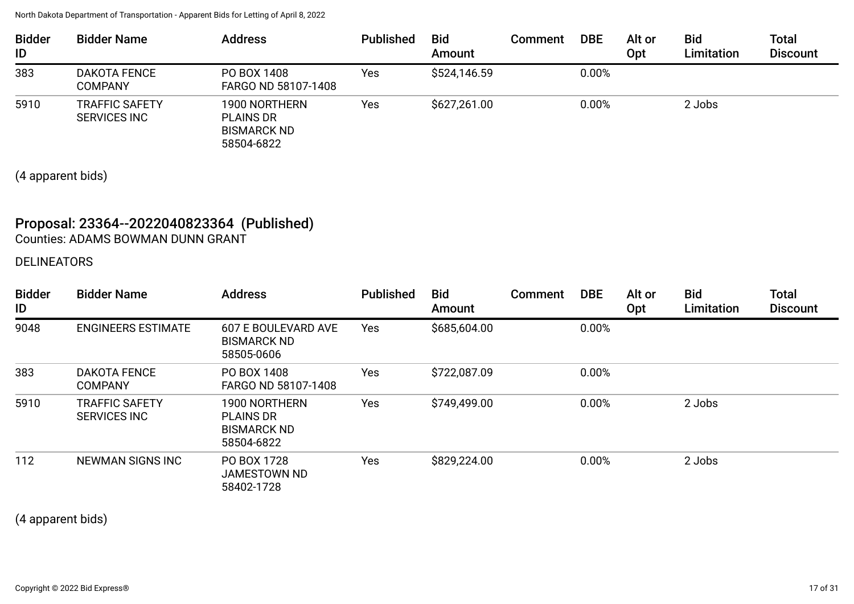| <b>Bidder</b><br>ID | <b>Bidder Name</b>                           | <b>Address</b>                                                        | <b>Published</b> | <b>Bid</b><br>Amount | Comment | <b>DBE</b> | Alt or<br>Opt | <b>Bid</b><br>Limitation | <b>Total</b><br><b>Discount</b> |
|---------------------|----------------------------------------------|-----------------------------------------------------------------------|------------------|----------------------|---------|------------|---------------|--------------------------|---------------------------------|
| 383                 | <b>DAKOTA FENCE</b><br><b>COMPANY</b>        | PO BOX 1408<br>FARGO ND 58107-1408                                    | Yes              | \$524,146.59         |         | 0.00%      |               |                          |                                 |
| 5910                | <b>TRAFFIC SAFETY</b><br><b>SERVICES INC</b> | 1900 NORTHERN<br><b>PLAINS DR</b><br><b>BISMARCK ND</b><br>58504-6822 | Yes              | \$627,261.00         |         | 0.00%      |               | 2 Jobs                   |                                 |

(4 apparent bids)

## Proposal: 23364--2022040823364 (Published) Counties: ADAMS BOWMAN DUNN GRANT

#### DELINEATORS

| <b>Bidder</b><br>ID | <b>Bidder Name</b>                           | <b>Address</b>                                                        | <b>Published</b> | <b>Bid</b><br>Amount | Comment | <b>DBE</b> | Alt or<br>Opt | <b>Bid</b><br>Limitation | <b>Total</b><br><b>Discount</b> |
|---------------------|----------------------------------------------|-----------------------------------------------------------------------|------------------|----------------------|---------|------------|---------------|--------------------------|---------------------------------|
| 9048                | <b>ENGINEERS ESTIMATE</b>                    | 607 E BOULEVARD AVE<br><b>BISMARCK ND</b><br>58505-0606               | Yes              | \$685,604.00         |         | 0.00%      |               |                          |                                 |
| 383                 | <b>DAKOTA FENCE</b><br><b>COMPANY</b>        | PO BOX 1408<br>FARGO ND 58107-1408                                    | Yes              | \$722,087.09         |         | 0.00%      |               |                          |                                 |
| 5910                | <b>TRAFFIC SAFETY</b><br><b>SERVICES INC</b> | 1900 NORTHERN<br><b>PLAINS DR</b><br><b>BISMARCK ND</b><br>58504-6822 | Yes              | \$749,499.00         |         | 0.00%      |               | 2 Jobs                   |                                 |
| 112                 | <b>NEWMAN SIGNS INC</b>                      | PO BOX 1728<br><b>JAMESTOWN ND</b><br>58402-1728                      | Yes              | \$829,224.00         |         | 0.00%      |               | 2 Jobs                   |                                 |

(4 apparent bids)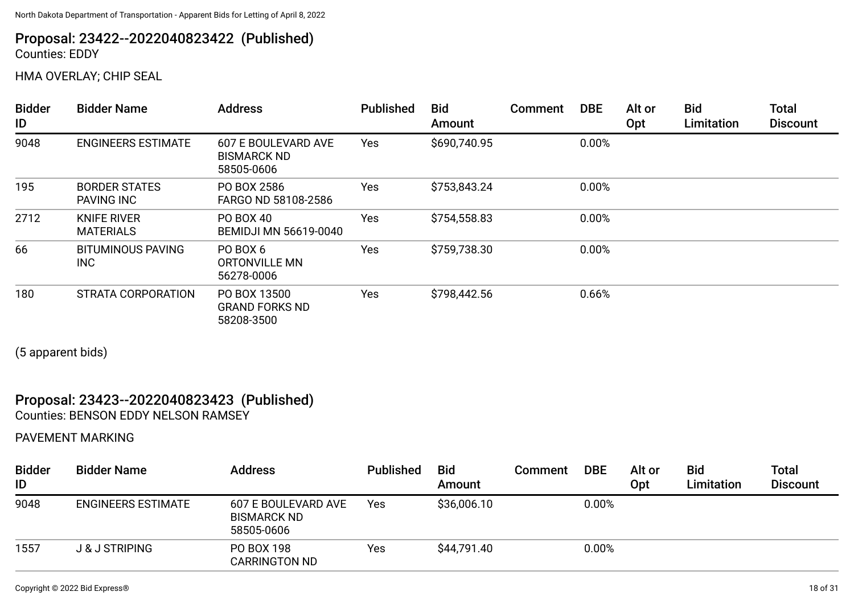## Proposal: 23422--2022040823422 (Published) Counties: EDDY

HMA OVERLAY; CHIP SEAL

| <b>Bidder</b><br>ID | <b>Bidder Name</b>                        | <b>Address</b>                                          | <b>Published</b> | <b>Bid</b><br>Amount | Comment | <b>DBE</b> | Alt or<br>Opt | <b>Bid</b><br>Limitation | <b>Total</b><br><b>Discount</b> |
|---------------------|-------------------------------------------|---------------------------------------------------------|------------------|----------------------|---------|------------|---------------|--------------------------|---------------------------------|
| 9048                | <b>ENGINEERS ESTIMATE</b>                 | 607 E BOULEVARD AVE<br><b>BISMARCK ND</b><br>58505-0606 | Yes              | \$690,740.95         |         | 0.00%      |               |                          |                                 |
| 195                 | <b>BORDER STATES</b><br><b>PAVING INC</b> | PO BOX 2586<br>FARGO ND 58108-2586                      | Yes              | \$753,843.24         |         | 0.00%      |               |                          |                                 |
| 2712                | <b>KNIFE RIVER</b><br><b>MATERIALS</b>    | <b>PO BOX 40</b><br><b>BEMIDJI MN 56619-0040</b>        | Yes              | \$754,558.83         |         | 0.00%      |               |                          |                                 |
| 66                  | <b>BITUMINOUS PAVING</b><br><b>INC</b>    | PO BOX 6<br>ORTONVILLE MN<br>56278-0006                 | Yes              | \$759,738.30         |         | 0.00%      |               |                          |                                 |
| 180                 | STRATA CORPORATION                        | PO BOX 13500<br><b>GRAND FORKS ND</b><br>58208-3500     | Yes              | \$798,442.56         |         | 0.66%      |               |                          |                                 |

(5 apparent bids)

#### Proposal: 23423--2022040823423 (Published) Counties: BENSON EDDY NELSON RAMSEY

PAVEMENT MARKING

| <b>Bidder</b><br>ID | <b>Bidder Name</b>        | <b>Address</b>                                          | <b>Published</b> | <b>Bid</b><br>Amount | Comment | <b>DBE</b> | Alt or<br>Opt | <b>Bid</b><br><b>Limitation</b> | Total<br><b>Discount</b> |
|---------------------|---------------------------|---------------------------------------------------------|------------------|----------------------|---------|------------|---------------|---------------------------------|--------------------------|
| 9048                | <b>ENGINEERS ESTIMATE</b> | 607 E BOULEVARD AVE<br><b>BISMARCK ND</b><br>58505-0606 | Yes              | \$36,006.10          |         | 0.00%      |               |                                 |                          |
| 1557                | <b>J &amp; J STRIPING</b> | PO BOX 198<br><b>CARRINGTON ND</b>                      | Yes              | \$44,791.40          |         | 0.00%      |               |                                 |                          |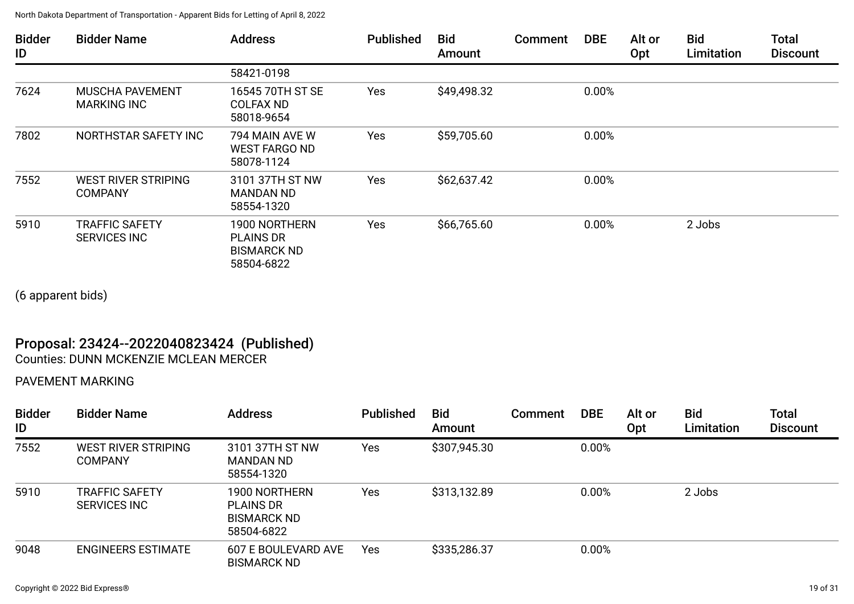| <b>Bidder</b><br>ID | <b>Bidder Name</b>                           | <b>Address</b>                                                        | <b>Published</b> | <b>Bid</b><br>Amount | Comment | <b>DBE</b> | Alt or<br>Opt | <b>Bid</b><br>Limitation | <b>Total</b><br><b>Discount</b> |
|---------------------|----------------------------------------------|-----------------------------------------------------------------------|------------------|----------------------|---------|------------|---------------|--------------------------|---------------------------------|
|                     |                                              | 58421-0198                                                            |                  |                      |         |            |               |                          |                                 |
| 7624                | <b>MUSCHA PAVEMENT</b><br><b>MARKING INC</b> | 16545 70TH ST SE<br><b>COLFAX ND</b><br>58018-9654                    | Yes              | \$49,498.32          |         | 0.00%      |               |                          |                                 |
| 7802                | NORTHSTAR SAFETY INC                         | 794 MAIN AVE W<br><b>WEST FARGO ND</b><br>58078-1124                  | Yes              | \$59,705.60          |         | 0.00%      |               |                          |                                 |
| 7552                | <b>WEST RIVER STRIPING</b><br><b>COMPANY</b> | 3101 37TH ST NW<br><b>MANDAN ND</b><br>58554-1320                     | Yes              | \$62,637.42          |         | 0.00%      |               |                          |                                 |
| 5910                | <b>TRAFFIC SAFETY</b><br><b>SERVICES INC</b> | 1900 NORTHERN<br><b>PLAINS DR</b><br><b>BISMARCK ND</b><br>58504-6822 | Yes              | \$66,765.60          |         | 0.00%      |               | 2 Jobs                   |                                 |

(6 apparent bids)

## Proposal: 23424--2022040823424 (Published)

Counties: DUNN MCKENZIE MCLEAN MERCER

## PAVEMENT MARKING

| <b>Bidder</b><br>ID | <b>Bidder Name</b>                           | <b>Address</b>                                                        | <b>Published</b> | <b>Bid</b><br>Amount | Comment | <b>DBE</b> | Alt or<br>Opt | <b>Bid</b><br>Limitation | <b>Total</b><br><b>Discount</b> |
|---------------------|----------------------------------------------|-----------------------------------------------------------------------|------------------|----------------------|---------|------------|---------------|--------------------------|---------------------------------|
| 7552                | WEST RIVER STRIPING<br><b>COMPANY</b>        | 3101 37TH ST NW<br><b>MANDAN ND</b><br>58554-1320                     | Yes              | \$307,945.30         |         | 0.00%      |               |                          |                                 |
| 5910                | <b>TRAFFIC SAFETY</b><br><b>SERVICES INC</b> | 1900 NORTHERN<br><b>PLAINS DR</b><br><b>BISMARCK ND</b><br>58504-6822 | Yes              | \$313,132.89         |         | 0.00%      |               | 2 Jobs                   |                                 |
| 9048                | <b>ENGINEERS ESTIMATE</b>                    | 607 E BOULEVARD AVE<br><b>BISMARCK ND</b>                             | Yes              | \$335,286.37         |         | 0.00%      |               |                          |                                 |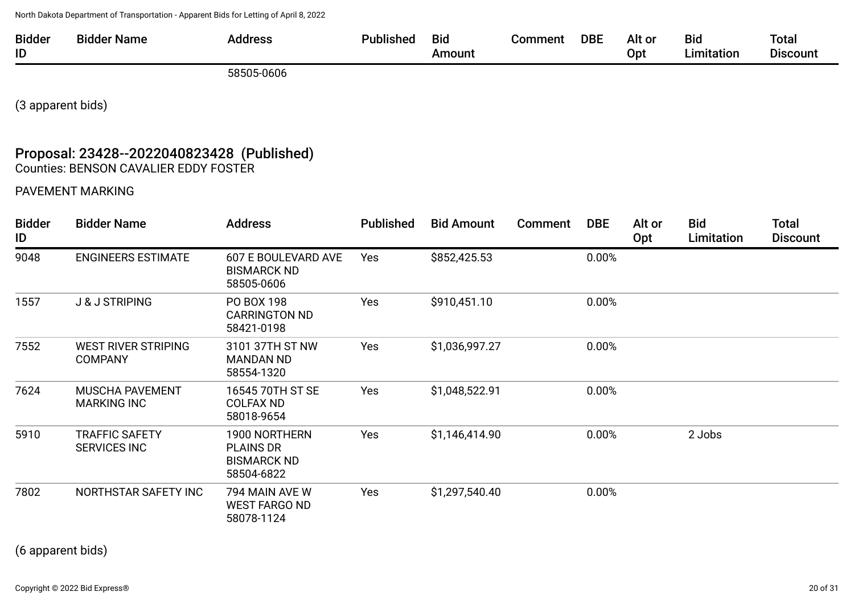| <b>Bidder</b> | aigu<br>-Name | .<br>unus | <br>ыс | DBI | Alt o | Bıd | Tota.        |
|---------------|---------------|-----------|--------|-----|-------|-----|--------------|
| ID            |               |           | חווחר  |     | OD1   |     | 1 I C<br>oum |
|               |               |           |        |     |       |     |              |

58505-0606

(3 apparent bids)

## Proposal: 23428--2022040823428 (Published) Counties: BENSON CAVALIER EDDY FOSTER

#### PAVEMENT MARKING

| <b>Bidder</b><br>ID | <b>Bidder Name</b>                           | <b>Address</b>                                                        | <b>Published</b> | <b>Bid Amount</b> | <b>Comment</b> | <b>DBE</b> | Alt or<br>Opt | <b>Bid</b><br>Limitation | <b>Total</b><br><b>Discount</b> |
|---------------------|----------------------------------------------|-----------------------------------------------------------------------|------------------|-------------------|----------------|------------|---------------|--------------------------|---------------------------------|
| 9048                | <b>ENGINEERS ESTIMATE</b>                    | <b>607 E BOULEVARD AVE</b><br><b>BISMARCK ND</b><br>58505-0606        | Yes              | \$852,425.53      |                | 0.00%      |               |                          |                                 |
| 1557                | <b>J &amp; J STRIPING</b>                    | PO BOX 198<br><b>CARRINGTON ND</b><br>58421-0198                      | Yes              | \$910,451.10      |                | 0.00%      |               |                          |                                 |
| 7552                | <b>WEST RIVER STRIPING</b><br><b>COMPANY</b> | 3101 37TH ST NW<br><b>MANDAN ND</b><br>58554-1320                     | Yes              | \$1,036,997.27    |                | 0.00%      |               |                          |                                 |
| 7624                | <b>MUSCHA PAVEMENT</b><br><b>MARKING INC</b> | 16545 70TH ST SE<br><b>COLFAX ND</b><br>58018-9654                    | Yes              | \$1,048,522.91    |                | 0.00%      |               |                          |                                 |
| 5910                | <b>TRAFFIC SAFETY</b><br><b>SERVICES INC</b> | 1900 NORTHERN<br><b>PLAINS DR</b><br><b>BISMARCK ND</b><br>58504-6822 | Yes              | \$1,146,414.90    |                | 0.00%      |               | 2 Jobs                   |                                 |
| 7802                | NORTHSTAR SAFETY INC                         | 794 MAIN AVE W<br><b>WEST FARGO ND</b><br>58078-1124                  | Yes              | \$1,297,540.40    |                | 0.00%      |               |                          |                                 |

(6 apparent bids)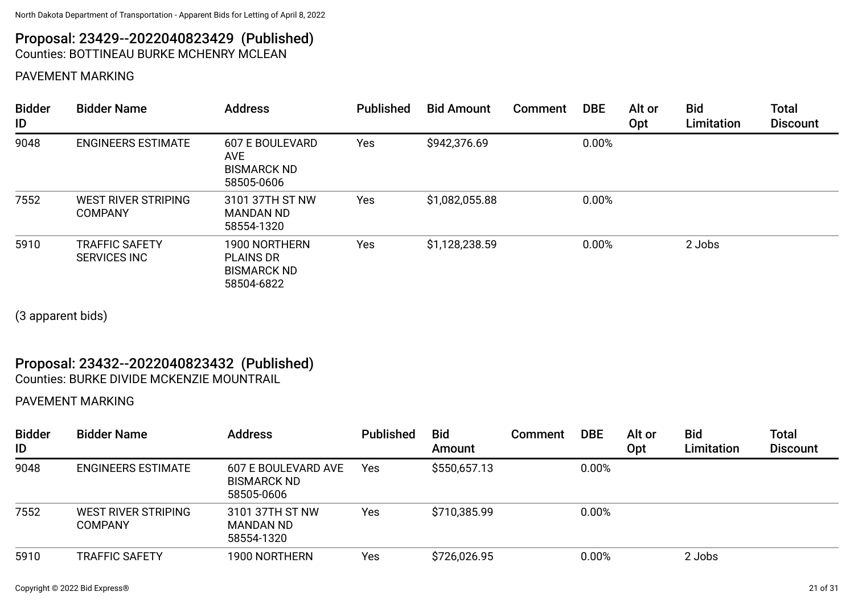#### Proposal: 23429--2022040823429 (Published) Counties: BOTTINEAU BURKE MCHENRY MCLEAN

#### PAVEMENT MARKING

| <b>Bidder</b><br>ID | <b>Bidder Name</b>                           | <b>Address</b>                                                           | <b>Published</b> | <b>Bid Amount</b> | <b>Comment</b> | <b>DBE</b> | Alt or<br>Opt | <b>Bid</b><br>Limitation | <b>Total</b><br><b>Discount</b> |
|---------------------|----------------------------------------------|--------------------------------------------------------------------------|------------------|-------------------|----------------|------------|---------------|--------------------------|---------------------------------|
| 9048                | <b>ENGINEERS ESTIMATE</b>                    | <b>607 E BOULEVARD</b><br><b>AVE</b><br><b>BISMARCK ND</b><br>58505-0606 | Yes              | \$942,376.69      |                | 0.00%      |               |                          |                                 |
| 7552                | <b>WEST RIVER STRIPING</b><br><b>COMPANY</b> | 3101 37TH ST NW<br><b>MANDAN ND</b><br>58554-1320                        | Yes              | \$1,082,055.88    |                | 0.00%      |               |                          |                                 |
| 5910                | <b>TRAFFIC SAFETY</b><br><b>SERVICES INC</b> | 1900 NORTHERN<br><b>PLAINS DR</b><br><b>BISMARCK ND</b><br>58504-6822    | Yes              | \$1,128,238.59    |                | 0.00%      |               | 2 Jobs                   |                                 |

(3 apparent bids)

## Proposal: 23432--2022040823432 (Published)

Counties: BURKE DIVIDE MCKENZIE MOUNTRAIL

#### PAVEMENT MARKING

| <b>Bidder</b><br>ID | <b>Bidder Name</b>             | <b>Address</b>                                          | <b>Published</b> | <b>Bid</b><br>Amount | Comment | <b>DBE</b> | Alt or<br>Opt | <b>Bid</b><br>Limitation | Total<br><b>Discount</b> |
|---------------------|--------------------------------|---------------------------------------------------------|------------------|----------------------|---------|------------|---------------|--------------------------|--------------------------|
| 9048                | <b>ENGINEERS ESTIMATE</b>      | 607 E BOULEVARD AVE<br><b>BISMARCK ND</b><br>58505-0606 | Yes              | \$550,657.13         |         | 0.00%      |               |                          |                          |
| 7552                | WEST RIVER STRIPING<br>COMPANY | 3101 37TH ST NW<br>MANDAN ND<br>58554-1320              | Yes              | \$710,385.99         |         | 0.00%      |               |                          |                          |
| 5910                | TRAFFIC SAFETY                 | 1900 NORTHERN                                           | Yes              | \$726,026.95         |         | 0.00%      |               | 2 Jobs                   |                          |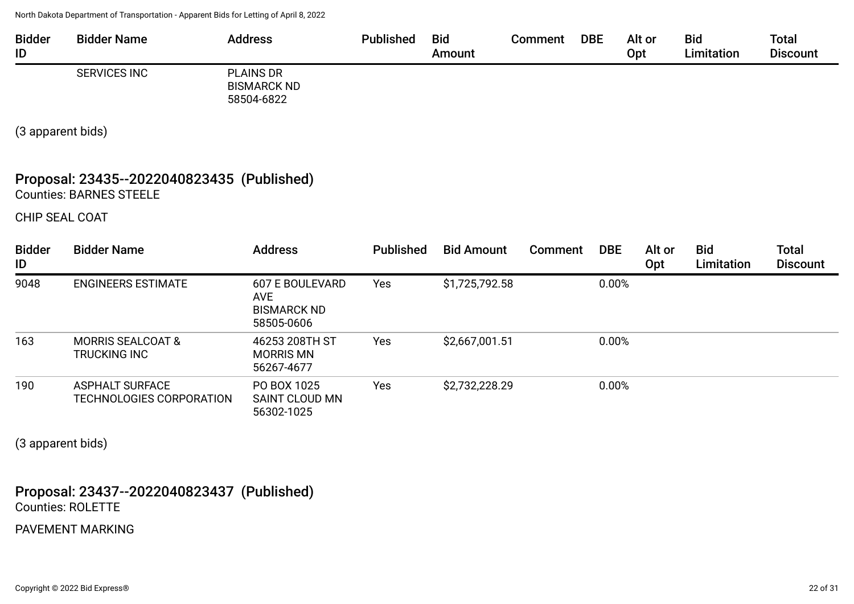| <b>Bidder</b><br>ID | <b>Bidder Name</b>  | <b>Address</b>                                       | <b>Published</b> | <b>Bid</b><br>Amount | Comment | <b>DBE</b> | Alt or<br>Opt | <b>Bid</b><br>Limitation | <b>Total</b><br><b>Discount</b> |
|---------------------|---------------------|------------------------------------------------------|------------------|----------------------|---------|------------|---------------|--------------------------|---------------------------------|
|                     | <b>SERVICES INC</b> | <b>PLAINS DR</b><br><b>BISMARCK ND</b><br>58504-6822 |                  |                      |         |            |               |                          |                                 |

(3 apparent bids)

## Proposal: 23435--2022040823435 (Published) Counties: BARNES STEELE

CHIP SEAL COAT

| <b>Bidder</b><br>ID | <b>Bidder Name</b>                                  | <b>Address</b>                                                           | <b>Published</b> | <b>Bid Amount</b> | Comment | <b>DBE</b> | Alt or<br>Opt | <b>Bid</b><br>Limitation | <b>Total</b><br><b>Discount</b> |
|---------------------|-----------------------------------------------------|--------------------------------------------------------------------------|------------------|-------------------|---------|------------|---------------|--------------------------|---------------------------------|
| 9048                | <b>ENGINEERS ESTIMATE</b>                           | <b>607 E BOULEVARD</b><br><b>AVE</b><br><b>BISMARCK ND</b><br>58505-0606 | Yes              | \$1,725,792.58    |         | 0.00%      |               |                          |                                 |
| 163                 | <b>MORRIS SEALCOAT &amp;</b><br><b>TRUCKING INC</b> | 46253 208TH ST<br><b>MORRIS MN</b><br>56267-4677                         | Yes              | \$2,667,001.51    |         | 0.00%      |               |                          |                                 |
| 190                 | <b>ASPHALT SURFACE</b><br>TECHNOLOGIES CORPORATION  | PO BOX 1025<br>SAINT CLOUD MN<br>56302-1025                              | Yes              | \$2,732,228.29    |         | 0.00%      |               |                          |                                 |

(3 apparent bids)

Proposal: 23437--2022040823437 (Published) Counties: ROLETTE

PAVEMENT MARKING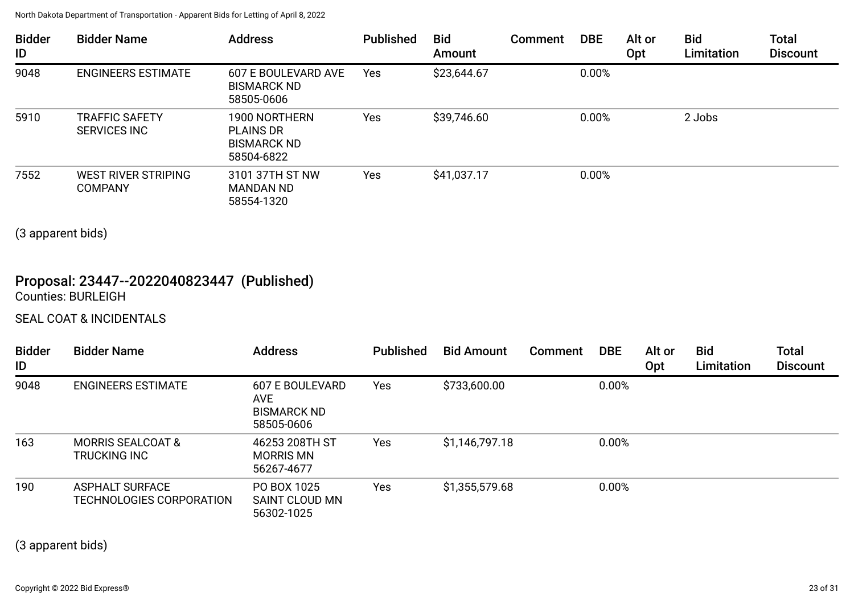| <b>Bidder</b><br>ID | <b>Bidder Name</b>                           | <b>Address</b>                                                        | <b>Published</b> | <b>Bid</b><br>Amount | <b>Comment</b> | <b>DBE</b> | Alt or<br>Opt | <b>Bid</b><br>Limitation | <b>Total</b><br><b>Discount</b> |
|---------------------|----------------------------------------------|-----------------------------------------------------------------------|------------------|----------------------|----------------|------------|---------------|--------------------------|---------------------------------|
| 9048                | <b>ENGINEERS ESTIMATE</b>                    | 607 E BOULEVARD AVE<br><b>BISMARCK ND</b><br>58505-0606               | Yes              | \$23,644.67          |                | 0.00%      |               |                          |                                 |
| 5910                | <b>TRAFFIC SAFETY</b><br><b>SERVICES INC</b> | 1900 NORTHERN<br><b>PLAINS DR</b><br><b>BISMARCK ND</b><br>58504-6822 | Yes              | \$39,746.60          |                | 0.00%      |               | 2 Jobs                   |                                 |
| 7552                | <b>WEST RIVER STRIPING</b><br><b>COMPANY</b> | 3101 37TH ST NW<br><b>MANDAN ND</b><br>58554-1320                     | Yes              | \$41,037.17          |                | 0.00%      |               |                          |                                 |

(3 apparent bids)

# Proposal: 23447--2022040823447 (Published)

Counties: BURLEIGH

## SEAL COAT & INCIDENTALS

| <b>Bidder</b><br>ID | <b>Bidder Name</b>                                  | <b>Address</b>                                             | <b>Published</b> | <b>Bid Amount</b> | <b>Comment</b> | <b>DBE</b> | Alt or<br>Opt | <b>Bid</b><br>Limitation | <b>Total</b><br><b>Discount</b> |
|---------------------|-----------------------------------------------------|------------------------------------------------------------|------------------|-------------------|----------------|------------|---------------|--------------------------|---------------------------------|
| 9048                | <b>ENGINEERS ESTIMATE</b>                           | 607 E BOULEVARD<br>AVE<br><b>BISMARCK ND</b><br>58505-0606 | <b>Yes</b>       | \$733,600.00      |                | 0.00%      |               |                          |                                 |
| 163                 | <b>MORRIS SEALCOAT &amp;</b><br><b>TRUCKING INC</b> | 46253 208TH ST<br><b>MORRIS MN</b><br>56267-4677           | Yes              | \$1,146,797.18    |                | 0.00%      |               |                          |                                 |
| 190                 | <b>ASPHALT SURFACE</b><br>TECHNOLOGIES CORPORATION  | PO BOX 1025<br>SAINT CLOUD MN<br>56302-1025                | Yes              | \$1,355,579.68    |                | 0.00%      |               |                          |                                 |

(3 apparent bids)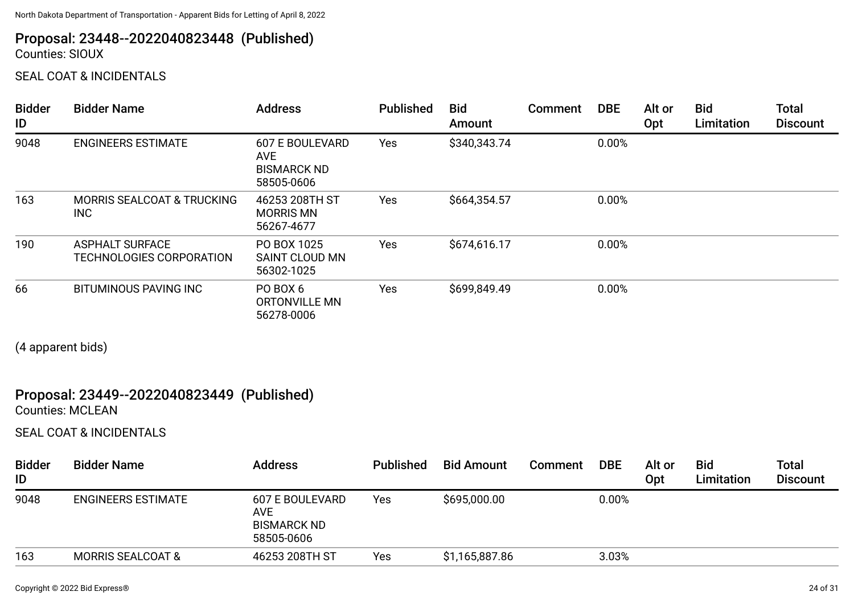# Proposal: 23448--2022040823448 (Published)

Counties: SIOUX

SEAL COAT & INCIDENTALS

| <b>Bidder</b><br>ID | <b>Bidder Name</b>                                 | <b>Address</b>                                                           | <b>Published</b> | <b>Bid</b><br>Amount | <b>Comment</b> | <b>DBE</b> | Alt or<br>Opt | <b>Bid</b><br>Limitation | <b>Total</b><br><b>Discount</b> |
|---------------------|----------------------------------------------------|--------------------------------------------------------------------------|------------------|----------------------|----------------|------------|---------------|--------------------------|---------------------------------|
| 9048                | <b>ENGINEERS ESTIMATE</b>                          | <b>607 E BOULEVARD</b><br><b>AVE</b><br><b>BISMARCK ND</b><br>58505-0606 | Yes              | \$340,343.74         |                | 0.00%      |               |                          |                                 |
| 163                 | <b>MORRIS SEALCOAT &amp; TRUCKING</b><br>INC.      | 46253 208TH ST<br><b>MORRIS MN</b><br>56267-4677                         | Yes              | \$664,354.57         |                | 0.00%      |               |                          |                                 |
| 190                 | <b>ASPHALT SURFACE</b><br>TECHNOLOGIES CORPORATION | PO BOX 1025<br>SAINT CLOUD MN<br>56302-1025                              | Yes              | \$674,616.17         |                | 0.00%      |               |                          |                                 |
| 66                  | <b>BITUMINOUS PAVING INC</b>                       | PO BOX 6<br>ORTONVILLE MN<br>56278-0006                                  | Yes              | \$699,849.49         |                | 0.00%      |               |                          |                                 |

(4 apparent bids)

## Proposal: 23449--2022040823449 (Published)

Counties: MCLEAN

SEAL COAT & INCIDENTALS

| <b>Bidder</b><br>ID | <b>Bidder Name</b>           | <b>Address</b>                                                    | <b>Published</b> | <b>Bid Amount</b> | Comment | <b>DBE</b> | Alt or<br>Opt | <b>Bid</b><br>Limitation | <b>Total</b><br><b>Discount</b> |
|---------------------|------------------------------|-------------------------------------------------------------------|------------------|-------------------|---------|------------|---------------|--------------------------|---------------------------------|
| 9048                | <b>ENGINEERS ESTIMATE</b>    | 607 E BOULEVARD<br><b>AVE</b><br><b>BISMARCK ND</b><br>58505-0606 | Yes              | \$695,000.00      |         | 0.00%      |               |                          |                                 |
| 163                 | <b>MORRIS SEALCOAT &amp;</b> | 46253 208TH ST                                                    | Yes              | \$1,165,887.86    |         | 3.03%      |               |                          |                                 |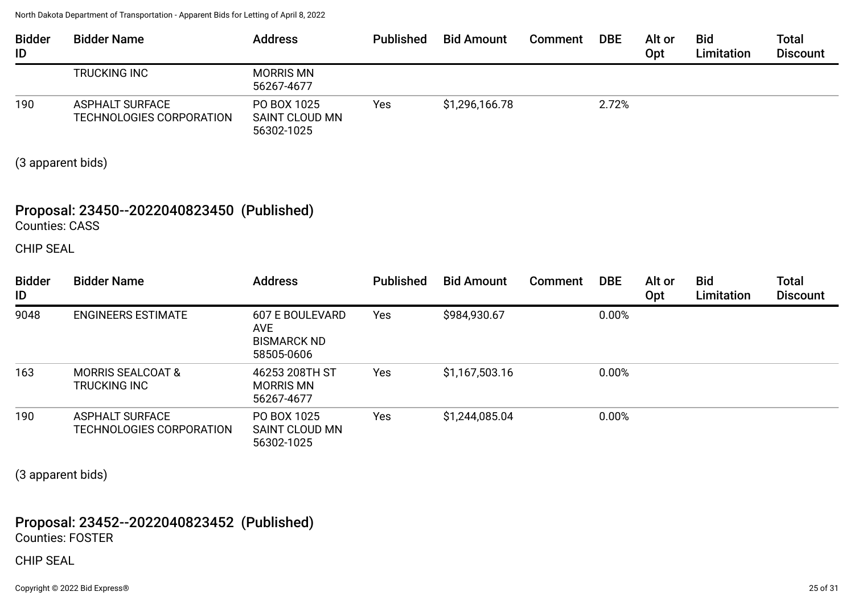| <b>Bidder</b><br>ID | <b>Bidder Name</b>                                        | <b>Address</b>                              | <b>Published</b> | <b>Bid Amount</b> | <b>Comment</b> | <b>DBE</b> | Alt or<br>Opt | <b>Bid</b><br>Limitation | <b>Total</b><br><b>Discount</b> |
|---------------------|-----------------------------------------------------------|---------------------------------------------|------------------|-------------------|----------------|------------|---------------|--------------------------|---------------------------------|
|                     | <b>TRUCKING INC</b>                                       | <b>MORRIS MN</b><br>56267-4677              |                  |                   |                |            |               |                          |                                 |
| 190                 | <b>ASPHALT SURFACE</b><br><b>TECHNOLOGIES CORPORATION</b> | PO BOX 1025<br>SAINT CLOUD MN<br>56302-1025 | Yes              | \$1,296,166.78    |                | 2.72%      |               |                          |                                 |

(3 apparent bids)

## Proposal: 23450--2022040823450 (Published)

Counties: CASS

CHIP SEAL

| <b>Bidder</b><br>ID | <b>Bidder Name</b>                                  | <b>Address</b>                                                           | <b>Published</b> | <b>Bid Amount</b> | Comment | <b>DBE</b> | Alt or<br><b>Opt</b> | <b>Bid</b><br>Limitation | <b>Total</b><br><b>Discount</b> |
|---------------------|-----------------------------------------------------|--------------------------------------------------------------------------|------------------|-------------------|---------|------------|----------------------|--------------------------|---------------------------------|
| 9048                | <b>ENGINEERS ESTIMATE</b>                           | <b>607 E BOULEVARD</b><br><b>AVE</b><br><b>BISMARCK ND</b><br>58505-0606 | Yes              | \$984,930.67      |         | 0.00%      |                      |                          |                                 |
| 163                 | <b>MORRIS SEALCOAT &amp;</b><br><b>TRUCKING INC</b> | 46253 208TH ST<br><b>MORRIS MN</b><br>56267-4677                         | Yes              | \$1,167,503.16    |         | 0.00%      |                      |                          |                                 |
| 190                 | <b>ASPHALT SURFACE</b><br>TECHNOLOGIES CORPORATION  | PO BOX 1025<br>SAINT CLOUD MN<br>56302-1025                              | Yes              | \$1,244,085.04    |         | 0.00%      |                      |                          |                                 |

(3 apparent bids)

## Proposal: 23452--2022040823452 (Published)

Counties: FOSTER

#### CHIP SEAL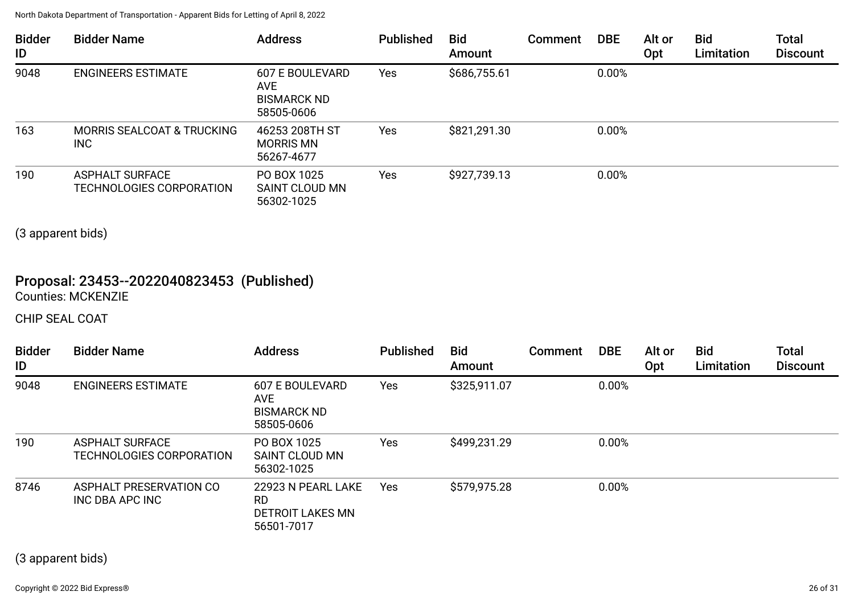| <b>Bidder</b><br>ID | <b>Bidder Name</b>                                 | <b>Address</b>                                                           | <b>Published</b> | <b>Bid</b><br>Amount | <b>Comment</b> | <b>DBE</b> | Alt or<br><b>Opt</b> | <b>Bid</b><br>Limitation | <b>Total</b><br><b>Discount</b> |
|---------------------|----------------------------------------------------|--------------------------------------------------------------------------|------------------|----------------------|----------------|------------|----------------------|--------------------------|---------------------------------|
| 9048                | <b>ENGINEERS ESTIMATE</b>                          | <b>607 E BOULEVARD</b><br><b>AVE</b><br><b>BISMARCK ND</b><br>58505-0606 | Yes              | \$686,755.61         |                | 0.00%      |                      |                          |                                 |
| 163                 | <b>MORRIS SEALCOAT &amp; TRUCKING</b><br>INC       | 46253 208TH ST<br><b>MORRIS MN</b><br>56267-4677                         | Yes              | \$821,291.30         |                | 0.00%      |                      |                          |                                 |
| 190                 | <b>ASPHALT SURFACE</b><br>TECHNOLOGIES CORPORATION | PO BOX 1025<br>SAINT CLOUD MN<br>56302-1025                              | Yes              | \$927,739.13         |                | 0.00%      |                      |                          |                                 |

(3 apparent bids)

## Proposal: 23453--2022040823453 (Published) Counties: MCKENZIE

CHIP SEAL COAT

| <b>Bidder</b><br>ID | <b>Bidder Name</b>                                 | <b>Address</b>                                                           | <b>Published</b> | <b>Bid</b><br>Amount | Comment | <b>DBE</b> | Alt or<br>Opt | <b>Bid</b><br>Limitation | <b>Total</b><br><b>Discount</b> |
|---------------------|----------------------------------------------------|--------------------------------------------------------------------------|------------------|----------------------|---------|------------|---------------|--------------------------|---------------------------------|
| 9048                | <b>ENGINEERS ESTIMATE</b>                          | <b>607 E BOULEVARD</b><br><b>AVE</b><br><b>BISMARCK ND</b><br>58505-0606 | Yes              | \$325,911.07         |         | 0.00%      |               |                          |                                 |
| 190                 | <b>ASPHALT SURFACE</b><br>TECHNOLOGIES CORPORATION | PO BOX 1025<br><b>SAINT CLOUD MN</b><br>56302-1025                       | Yes              | \$499,231.29         |         | 0.00%      |               |                          |                                 |
| 8746                | ASPHALT PRESERVATION CO<br>INC DBA APC INC         | 22923 N PEARL LAKE<br><b>RD</b><br><b>DETROIT LAKES MN</b><br>56501-7017 | Yes              | \$579,975.28         |         | 0.00%      |               |                          |                                 |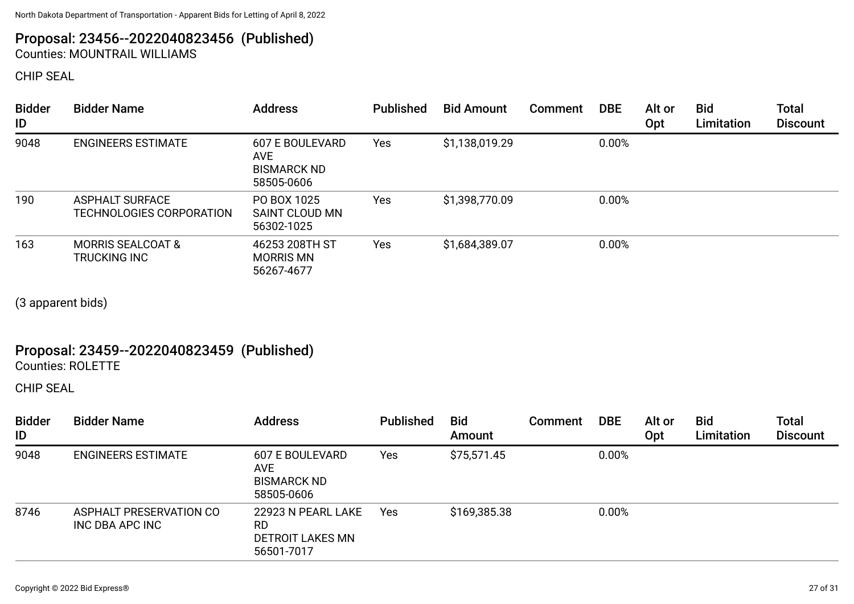## Proposal: 23456--2022040823456 (Published) Counties: MOUNTRAIL WILLIAMS

CHIP SEAL

| <b>Bidder</b><br>ID | <b>Bidder Name</b>                                 | <b>Address</b>                                                    | <b>Published</b> | <b>Bid Amount</b> | Comment | <b>DBE</b> | Alt or<br>Opt | <b>Bid</b><br>Limitation | Total<br><b>Discount</b> |
|---------------------|----------------------------------------------------|-------------------------------------------------------------------|------------------|-------------------|---------|------------|---------------|--------------------------|--------------------------|
| 9048                | <b>ENGINEERS ESTIMATE</b>                          | <b>607 E BOULEVARD</b><br>AVE<br><b>BISMARCK ND</b><br>58505-0606 | Yes              | \$1,138,019.29    |         | 0.00%      |               |                          |                          |
| 190                 | <b>ASPHALT SURFACE</b><br>TECHNOLOGIES CORPORATION | PO BOX 1025<br>SAINT CLOUD MN<br>56302-1025                       | Yes              | \$1,398,770.09    |         | 0.00%      |               |                          |                          |
| 163                 | <b>MORRIS SEALCOAT &amp;</b><br>TRUCKING INC       | 46253 208TH ST<br><b>MORRIS MN</b><br>56267-4677                  | Yes              | \$1,684,389.07    |         | 0.00%      |               |                          |                          |

(3 apparent bids)

# Proposal: 23459--2022040823459 (Published)

Counties: ROLETTE

CHIP SEAL

| <b>Bidder</b><br>ID | <b>Bidder Name</b>                         | <b>Address</b>                                                           | <b>Published</b> | <b>Bid</b><br>Amount | <b>Comment</b> | <b>DBE</b> | Alt or<br>Opt | <b>Bid</b><br>Limitation | <b>Total</b><br><b>Discount</b> |
|---------------------|--------------------------------------------|--------------------------------------------------------------------------|------------------|----------------------|----------------|------------|---------------|--------------------------|---------------------------------|
| 9048                | <b>ENGINEERS ESTIMATE</b>                  | <b>607 E BOULEVARD</b><br><b>AVE</b><br><b>BISMARCK ND</b><br>58505-0606 | Yes              | \$75,571.45          |                | 0.00%      |               |                          |                                 |
| 8746                | ASPHALT PRESERVATION CO<br>INC DBA APC INC | 22923 N PEARL LAKE<br><b>RD</b><br><b>DETROIT LAKES MN</b><br>56501-7017 | Yes              | \$169,385.38         |                | 0.00%      |               |                          |                                 |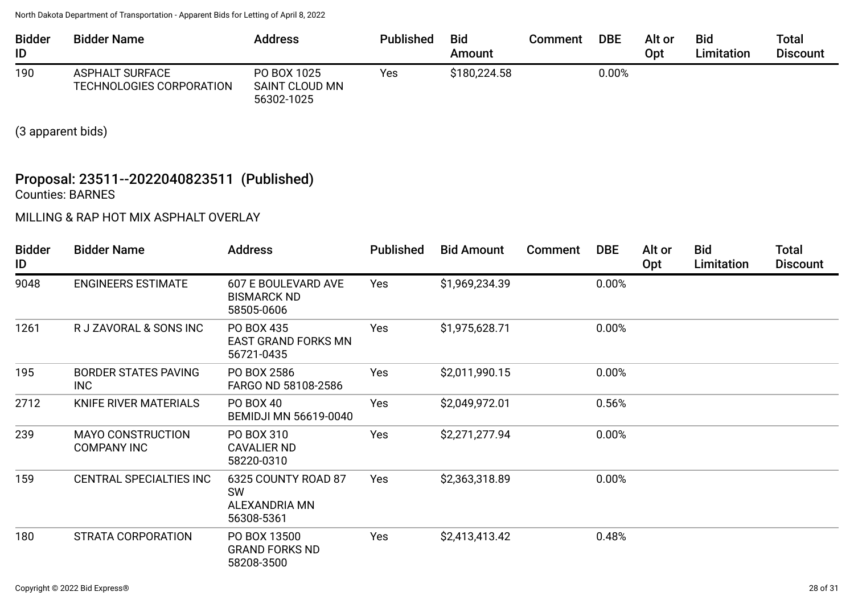| <b>Bidder</b><br>ID | <b>Bidder Name</b>                                 | <b>Address</b>                                     | <b>Published</b> | <b>Bid</b><br>Amount | Comment | <b>DBE</b> | Alt or<br>Opt | <b>Bid</b><br>Limitation | Total<br><b>Discount</b> |
|---------------------|----------------------------------------------------|----------------------------------------------------|------------------|----------------------|---------|------------|---------------|--------------------------|--------------------------|
| 190                 | <b>ASPHALT SURFACE</b><br>TECHNOLOGIES CORPORATION | PO BOX 1025<br><b>SAINT CLOUD MN</b><br>56302-1025 | Yes              | \$180,224.58         |         | $0.00\%$   |               |                          |                          |

(3 apparent bids)

## Proposal: 23511--2022040823511 (Published) Counties: BARNES

MILLING & RAP HOT MIX ASPHALT OVERLAY

| <b>Bidder</b><br>ID | <b>Bidder Name</b>                             | <b>Address</b>                                                  | <b>Published</b> | <b>Bid Amount</b> | Comment | <b>DBE</b> | Alt or<br>Opt | Bid<br>Limitation | <b>Total</b><br><b>Discount</b> |
|---------------------|------------------------------------------------|-----------------------------------------------------------------|------------------|-------------------|---------|------------|---------------|-------------------|---------------------------------|
| 9048                | <b>ENGINEERS ESTIMATE</b>                      | <b>607 E BOULEVARD AVE</b><br><b>BISMARCK ND</b><br>58505-0606  | Yes              | \$1,969,234.39    |         | 0.00%      |               |                   |                                 |
| 1261                | R J ZAVORAL & SONS INC                         | PO BOX 435<br><b>EAST GRAND FORKS MN</b><br>56721-0435          | Yes              | \$1,975,628.71    |         | 0.00%      |               |                   |                                 |
| 195                 | <b>BORDER STATES PAVING</b><br>INC             | PO BOX 2586<br>FARGO ND 58108-2586                              | Yes              | \$2,011,990.15    |         | 0.00%      |               |                   |                                 |
| 2712                | KNIFE RIVER MATERIALS                          | PO BOX 40<br><b>BEMIDJI MN 56619-0040</b>                       | Yes              | \$2,049,972.01    |         | 0.56%      |               |                   |                                 |
| 239                 | <b>MAYO CONSTRUCTION</b><br><b>COMPANY INC</b> | PO BOX 310<br><b>CAVALIER ND</b><br>58220-0310                  | Yes              | \$2,271,277.94    |         | 0.00%      |               |                   |                                 |
| 159                 | <b>CENTRAL SPECIALTIES INC</b>                 | 6325 COUNTY ROAD 87<br><b>SW</b><br>ALEXANDRIA MN<br>56308-5361 | Yes              | \$2,363,318.89    |         | 0.00%      |               |                   |                                 |
| 180                 | STRATA CORPORATION                             | PO BOX 13500<br><b>GRAND FORKS ND</b><br>58208-3500             | Yes              | \$2,413,413.42    |         | 0.48%      |               |                   |                                 |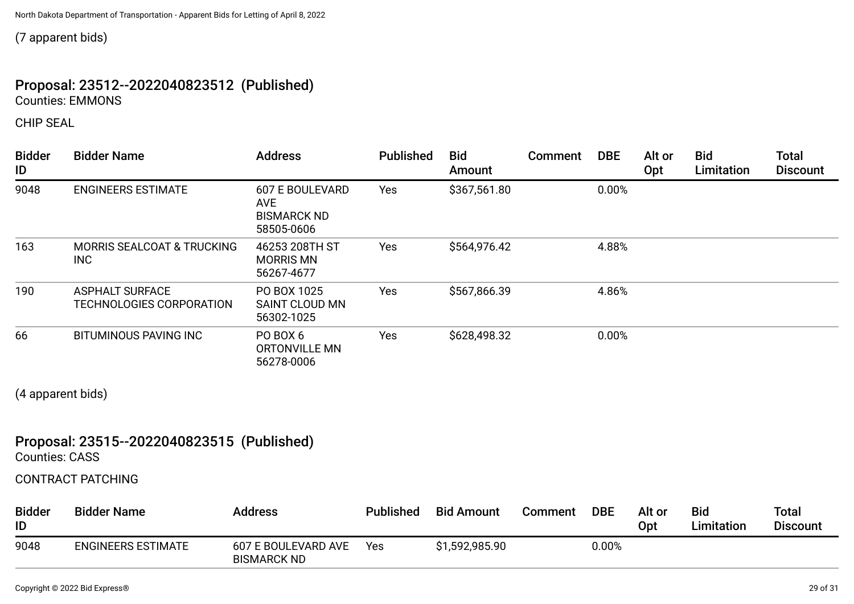(7 apparent bids)

## Proposal: 23512--2022040823512 (Published) Counties: EMMONS

CHIP SEAL

| <b>Bidder</b><br>ID | <b>Bidder Name</b>                                 | <b>Address</b>                                                           | <b>Published</b> | <b>Bid</b><br>Amount | Comment | <b>DBE</b> | Alt or<br>Opt | <b>Bid</b><br>Limitation | <b>Total</b><br><b>Discount</b> |
|---------------------|----------------------------------------------------|--------------------------------------------------------------------------|------------------|----------------------|---------|------------|---------------|--------------------------|---------------------------------|
| 9048                | <b>ENGINEERS ESTIMATE</b>                          | <b>607 E BOULEVARD</b><br><b>AVE</b><br><b>BISMARCK ND</b><br>58505-0606 | Yes              | \$367,561.80         |         | 0.00%      |               |                          |                                 |
| 163                 | <b>MORRIS SEALCOAT &amp; TRUCKING</b><br>INC       | 46253 208TH ST<br><b>MORRIS MN</b><br>56267-4677                         | Yes              | \$564,976.42         |         | 4.88%      |               |                          |                                 |
| 190                 | <b>ASPHALT SURFACE</b><br>TECHNOLOGIES CORPORATION | PO BOX 1025<br>SAINT CLOUD MN<br>56302-1025                              | Yes              | \$567,866.39         |         | 4.86%      |               |                          |                                 |
| 66                  | <b>BITUMINOUS PAVING INC</b>                       | PO BOX 6<br>ORTONVILLE MN<br>56278-0006                                  | Yes              | \$628,498.32         |         | 0.00%      |               |                          |                                 |

(4 apparent bids)

## Proposal: 23515--2022040823515 (Published)

Counties: CASS

CONTRACT PATCHING

| <b>Bidder</b><br>ID | <b>Bidder Name</b>        | <b>Address</b>                            | <b>Published</b> | <b>Bid Amount</b> | Comment | <b>DBE</b> | Alt or<br>Opt | <b>Bid</b><br><b>Limitation</b> | <b>Total</b><br><b>Discount</b> |
|---------------------|---------------------------|-------------------------------------------|------------------|-------------------|---------|------------|---------------|---------------------------------|---------------------------------|
| 9048                | <b>ENGINEERS ESTIMATE</b> | 607 E BOULEVARD AVE<br><b>BISMARCK ND</b> | Yes              | \$1,592,985.90    |         | 0.00%      |               |                                 |                                 |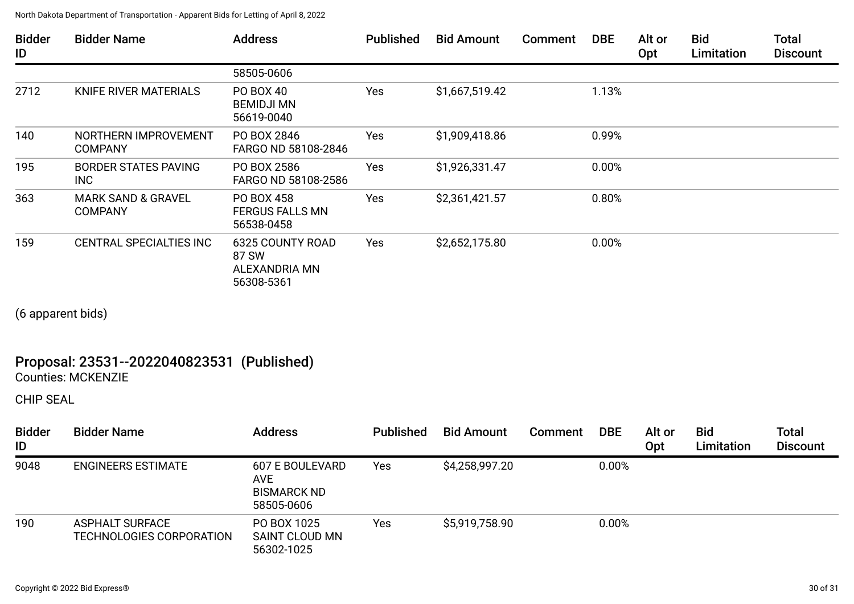| <b>Bidder</b><br>ID | <b>Bidder Name</b>                              | <b>Address</b>                                                  | <b>Published</b> | <b>Bid Amount</b> | <b>Comment</b> | <b>DBE</b> | Alt or<br>Opt | <b>Bid</b><br>Limitation | <b>Total</b><br><b>Discount</b> |
|---------------------|-------------------------------------------------|-----------------------------------------------------------------|------------------|-------------------|----------------|------------|---------------|--------------------------|---------------------------------|
|                     |                                                 | 58505-0606                                                      |                  |                   |                |            |               |                          |                                 |
| 2712                | KNIFE RIVER MATERIALS                           | <b>PO BOX 40</b><br><b>BEMIDJI MN</b><br>56619-0040             | Yes              | \$1,667,519.42    |                | 1.13%      |               |                          |                                 |
| 140                 | NORTHERN IMPROVEMENT<br><b>COMPANY</b>          | PO BOX 2846<br>FARGO ND 58108-2846                              | Yes              | \$1,909,418.86    |                | 0.99%      |               |                          |                                 |
| 195                 | <b>BORDER STATES PAVING</b><br>INC              | PO BOX 2586<br>FARGO ND 58108-2586                              | Yes              | \$1,926,331.47    |                | 0.00%      |               |                          |                                 |
| 363                 | <b>MARK SAND &amp; GRAVEL</b><br><b>COMPANY</b> | PO BOX 458<br><b>FERGUS FALLS MN</b><br>56538-0458              | Yes              | \$2,361,421.57    |                | 0.80%      |               |                          |                                 |
| 159                 | CENTRAL SPECIALTIES INC                         | <b>6325 COUNTY ROAD</b><br>87 SW<br>ALEXANDRIA MN<br>56308-5361 | Yes              | \$2,652,175.80    |                | 0.00%      |               |                          |                                 |

(6 apparent bids)

# Proposal: 23531--2022040823531 (Published)

Counties: MCKENZIE

CHIP SEAL

| <b>Bidder</b><br>ID | <b>Bidder Name</b>                                 | <b>Address</b>                                                    | <b>Published</b> | <b>Bid Amount</b> | Comment | <b>DBE</b> | Alt or<br>Opt | <b>Bid</b><br>Limitation | <b>Total</b><br><b>Discount</b> |
|---------------------|----------------------------------------------------|-------------------------------------------------------------------|------------------|-------------------|---------|------------|---------------|--------------------------|---------------------------------|
| 9048                | <b>ENGINEERS ESTIMATE</b>                          | 607 E BOULEVARD<br><b>AVE</b><br><b>BISMARCK ND</b><br>58505-0606 | Yes              | \$4,258,997.20    |         | 0.00%      |               |                          |                                 |
| 190                 | <b>ASPHALT SURFACE</b><br>TECHNOLOGIES CORPORATION | PO BOX 1025<br>SAINT CLOUD MN<br>56302-1025                       | Yes              | \$5,919,758.90    |         | 0.00%      |               |                          |                                 |